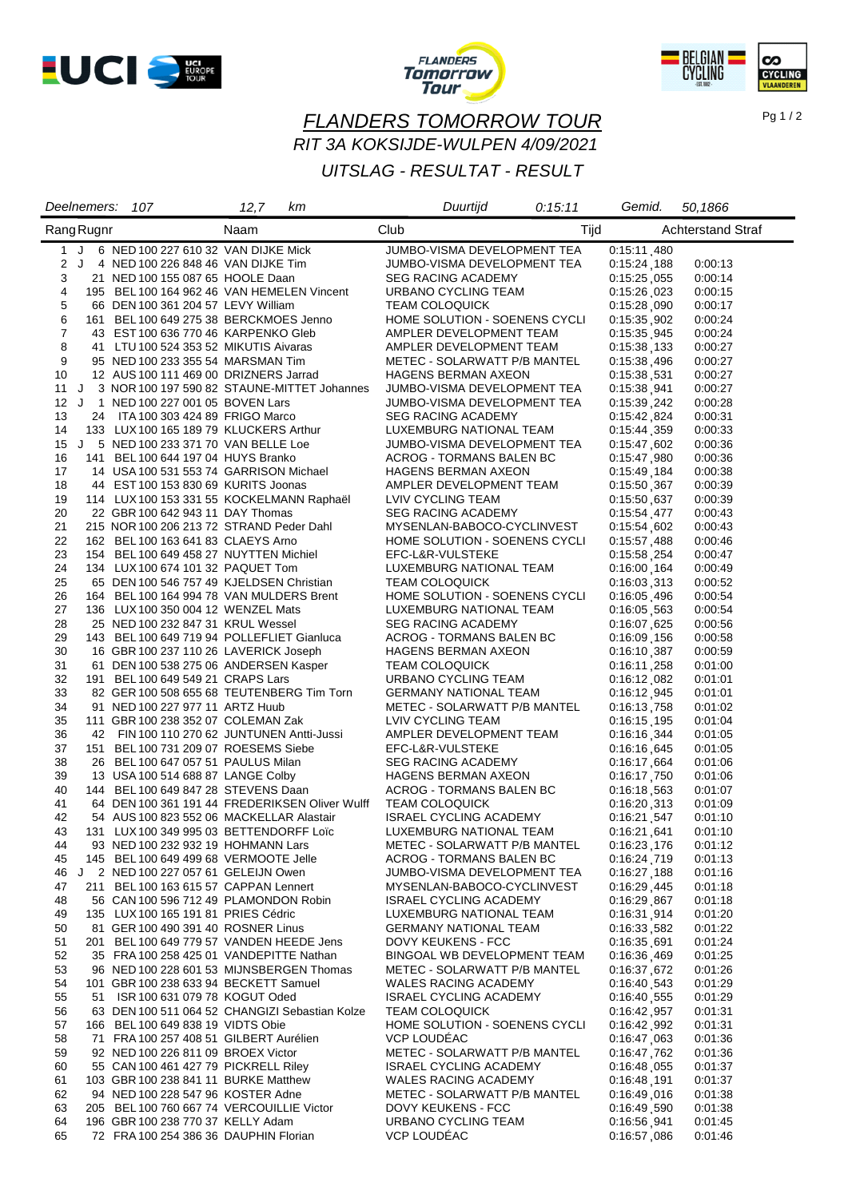





## *FLANDERS TOMORROW TOUR RIT 3A KOKSIJDE-WULPEN 4/09/2021*

#### *UITSLAG - RESULTAT - RESULT*

|                | Deelnemers: 107                           | 12,7<br>kт                                     | Duurtijd                                                   | 0:15:11 | Gemid.                     | 50,1866                  |
|----------------|-------------------------------------------|------------------------------------------------|------------------------------------------------------------|---------|----------------------------|--------------------------|
| Rang Rugnr     |                                           | Naam                                           | Club                                                       | Tijd    |                            | <b>Achterstand Straf</b> |
|                | 1 J 6 NED 100 227 610 32 VAN DIJKE Mick   |                                                | JUMBO-VISMA DEVELOPMENT TEA                                |         | 0:15:11.480                |                          |
|                | 2 J 4 NED 100 226 848 46 VAN DIJKE Tim    |                                                | JUMBO-VISMA DEVELOPMENT TEA                                |         | 0:15:24,188                | 0:00:13                  |
| 3              | 21 NED 100 155 087 65 HOOLE Daan          |                                                | <b>SEG RACING ACADEMY</b>                                  |         | 0:15:25,055                | 0:00:14                  |
| 4              |                                           | 195 BEL 100 164 962 46 VAN HEMELEN Vincent     | URBANO CYCLING TEAM                                        |         | 0:15:26,023                | 0:00:15                  |
| 5              | 66 DEN 100 361 204 57 LEVY William        |                                                | <b>TEAM COLOQUICK</b>                                      |         | 0:15:28,090                | 0:00:17                  |
| 6              | 161 BEL 100 649 275 38 BERCKMOES Jenno    |                                                | HOME SOLUTION - SOENENS CYCLI                              |         | 0:15:35.902                | 0:00:24                  |
| $\overline{7}$ | 43 EST 100 636 770 46 KARPENKO Gleb       |                                                | AMPLER DEVELOPMENT TEAM                                    |         | 0:15:35.945                | 0:00:24                  |
| 8              | 41 LTU 100 524 353 52 MIKUTIS Aivaras     |                                                | AMPLER DEVELOPMENT TEAM                                    |         | 0:15:38.133                | 0:00:27                  |
| 9              | 95 NED 100 233 355 54 MARSMAN Tim         |                                                | METEC - SOLARWATT P/B MANTEL                               |         | 0:15:38,496                | 0:00:27                  |
| 10             | 12 AUS 100 111 469 00 DRIZNERS Jarrad     |                                                | HAGENS BERMAN AXEON                                        |         | 0:15:38.531                | 0:00:27                  |
| 11             | 12 J 1 NED 100 227 001 05 BOVEN Lars      | J 3 NOR 100 197 590 82 STAUNE-MITTET Johannes  | JUMBO-VISMA DEVELOPMENT TEA<br>JUMBO-VISMA DEVELOPMENT TEA |         | 0:15:38,941                | 0:00:27                  |
| 13             | 24 ITA 100 303 424 89 FRIGO Marco         |                                                | <b>SEG RACING ACADEMY</b>                                  |         | 0:15:39,242<br>0:15:42,824 | 0:00:28<br>0:00:31       |
| 14             | 133 LUX 100 165 189 79 KLUCKERS Arthur    |                                                | LUXEMBURG NATIONAL TEAM                                    |         | 0:15:44,359                | 0:00:33                  |
| 15             | J 5 NED 100 233 371 70 VAN BELLE Loe      |                                                | JUMBO-VISMA DEVELOPMENT TEA                                |         | 0:15:47,602                | 0:00:36                  |
| 16             | 141 BEL 100 644 197 04 HUYS Branko        |                                                | ACROG - TORMANS BALEN BC                                   |         | 0:15:47,980                | 0:00:36                  |
| 17             | 14 USA 100 531 553 74 GARRISON Michael    |                                                | <b>HAGENS BERMAN AXEON</b>                                 |         | 0:15:49,184                | 0:00:38                  |
| 18             | 44 EST 100 153 830 69 KURITS Joonas       |                                                | AMPLER DEVELOPMENT TEAM                                    |         | 0:15:50,367                | 0:00:39                  |
| 19             |                                           | 114 LUX 100 153 331 55 KOCKELMANN Raphaël      | LVIV CYCLING TEAM                                          |         | 0:15:50,637                | 0:00:39                  |
| 20             | 22 GBR 100 642 943 11 DAY Thomas          |                                                | SEG RACING ACADEMY                                         |         | 0:15:54 477                | 0:00:43                  |
| 21             | 215 NOR 100 206 213 72 STRAND Peder Dahl  |                                                | MYSENLAN-BABOCO-CYCLINVEST                                 |         | 0:15:54,602                | 0:00:43                  |
| 22             | 162 BEL 100 163 641 83 CLAEYS Arno        |                                                | HOME SOLUTION - SOENENS CYCLI                              |         | 0:15:57,488                | 0:00:46                  |
| 23             | 154 BEL 100 649 458 27 NUYTTEN Michiel    |                                                | EFC-L&R-VULSTEKE                                           |         | 0:15:58.254                | 0:00:47                  |
| 24             | 134 LUX 100 674 101 32 PAQUET Tom         |                                                | LUXEMBURG NATIONAL TEAM                                    |         | 0:16:00,164                | 0:00:49                  |
| 25             | 65 DEN 100 546 757 49 KJELDSEN Christian  |                                                | <b>TEAM COLOQUICK</b>                                      |         | 0:16:03.313                | 0:00:52                  |
| 26             |                                           | 164 BEL 100 164 994 78 VAN MULDERS Brent       | HOME SOLUTION - SOENENS CYCLI                              |         | 0:16:05,496                | 0:00:54                  |
| 27             | 136 LUX 100 350 004 12 WENZEL Mats        |                                                | LUXEMBURG NATIONAL TEAM                                    |         | 0:16:05,563                | 0:00:54                  |
| 28             | 25 NED 100 232 847 31 KRUL Wessel         |                                                | <b>SEG RACING ACADEMY</b>                                  |         | 0:16:07,625                | 0:00:56                  |
| 29             |                                           | 143 BEL 100 649 719 94 POLLEFLIET Gianluca     | ACROG - TORMANS BALEN BC                                   |         | 0:16:09,156                | 0:00:58                  |
| 30             | 16 GBR 100 237 110 26 LAVERICK Joseph     |                                                | <b>HAGENS BERMAN AXEON</b>                                 |         | 0:16:10,387                | 0:00:59                  |
| 31             | 61 DEN 100 538 275 06 ANDERSEN Kasper     |                                                | <b>TEAM COLOQUICK</b>                                      |         | 0:16:11,258                | 0:01:00                  |
| 32             | 191 BEL 100 649 549 21 CRAPS Lars         |                                                | URBANO CYCLING TEAM                                        |         | 0:16:12.082                | 0:01:01                  |
| 33             |                                           | 82 GER 100 508 655 68 TEUTENBERG Tim Torn      | <b>GERMANY NATIONAL TEAM</b>                               |         | 0:16:12.945                | 0:01:01                  |
| 34             | 91 NED 100 227 977 11 ARTZ Huub           |                                                | METEC - SOLARWATT P/B MANTEL                               |         | 0:16:13,758                | 0:01:02                  |
| 35<br>36       | 111 GBR 100 238 352 07 COLEMAN Zak        |                                                | LVIV CYCLING TEAM                                          |         | 0:16:15.195                | 0:01:04                  |
| 37             | 151 BEL 100 731 209 07 ROESEMS Siebe      | 42 FIN 100 110 270 62 JUNTUNEN Antti-Jussi     | AMPLER DEVELOPMENT TEAM<br>EFC-L&R-VULSTEKE                |         | 0:16:16,344<br>0:16:16,645 | 0:01:05<br>0:01:05       |
| 38             | 26 BEL 100 647 057 51 PAULUS Milan        |                                                | <b>SEG RACING ACADEMY</b>                                  |         | 0:16:17,664                | 0.01.06                  |
| 39             | 13 USA 100 514 688 87 LANGE Colby         |                                                | HAGENS BERMAN AXEON                                        |         | 0:16:17,750                | 0.01:06                  |
| 40             | 144 BEL 100 649 847 28 STEVENS Daan       |                                                | ACROG - TORMANS BALEN BC                                   |         | 0:16:18,563                | 0:01:07                  |
| 41             |                                           | 64 DEN 100 361 191 44 FREDERIKSEN Oliver Wulff | <b>TEAM COLOQUICK</b>                                      |         | 0.16:20,313                | 0.01:09                  |
| 42             | 54 AUS 100 823 552 06 MACKELLAR Alastair  |                                                | <b>ISRAEL CYCLING ACADEMY</b>                              |         | 0:16:21,547                | 0:01:10                  |
| 43             | 131 LUX 100 349 995 03 BETTENDORFF Loïc   |                                                | LUXEMBURG NATIONAL TEAM                                    |         | 0:16:21,641                | 0:01:10                  |
| 44             | 93 NED 100 232 932 19 HOHMANN Lars        |                                                | METEC - SOLARWATT P/B MANTEL                               |         | 0:16:23,176                | 0:01:12                  |
| 45             | 145 BEL 100 649 499 68 VERMOOTE Jelle     |                                                | ACROG - TORMANS BALEN BC                                   |         | 0:16:24.719                | 0.01:13                  |
| 46             | J 2 NED 100 227 057 61 GELEIJN Owen       |                                                | JUMBO-VISMA DEVELOPMENT TEA                                |         | 0:16:27,188                | 0.01:16                  |
| 47             | 211 BEL 100 163 615 57 CAPPAN Lennert     |                                                | MYSENLAN-BABOCO-CYCLINVEST                                 |         | 0:16:29.445                | 0:01:18                  |
| 48             | 56 CAN 100 596 712 49 PLAMONDON Robin     |                                                | <b>ISRAEL CYCLING ACADEMY</b>                              |         | 0:16:29.867                | 0.01:18                  |
| 49             | 135 LUX 100 165 191 81 PRIES Cédric       |                                                | LUXEMBURG NATIONAL TEAM                                    |         | 0:16:31,914                | 0.01:20                  |
| 50             | 81 GER 100 490 391 40 ROSNER Linus        |                                                | <b>GERMANY NATIONAL TEAM</b>                               |         | 0:16:33,582                | 0:01:22                  |
| 51             |                                           | 201 BEL 100 649 779 57 VANDEN HEEDE Jens       | DOVY KEUKENS - FCC                                         |         | 0:16:35,691                | 0:01:24                  |
| 52             |                                           | 35 FRA 100 258 425 01 VANDEPITTE Nathan        | BINGOAL WB DEVELOPMENT TEAM                                |         | 0:16:36,469                | 0:01:25                  |
| 53             |                                           | 96 NED 100 228 601 53 MIJNSBERGEN Thomas       | METEC - SOLARWATT P/B MANTEL                               |         | 0:16:37,672                | 0:01:26                  |
| 54             | 101 GBR 100 238 633 94 BECKETT Samuel     |                                                | <b>WALES RACING ACADEMY</b>                                |         | 0:16:40,543                | 0:01:29                  |
| 55             | 51 ISR 100 631 079 78 KOGUT Oded          |                                                | <b>ISRAEL CYCLING ACADEMY</b>                              |         | 0:16:40,555                | 0:01:29                  |
| 56<br>57       | 166 BEL 100 649 838 19 VIDTS Obie         | 63 DEN 100 511 064 52 CHANGIZI Sebastian Kolze | <b>TEAM COLOQUICK</b><br>HOME SOLUTION - SOENENS CYCLI     |         | 0:16:42.957                | 0:01:31                  |
| 58             | 71 FRA 100 257 408 51 GILBERT Aurélien    |                                                | <b>VCP LOUDEAC</b>                                         |         | 0:16:42.992<br>0:16:47.063 | 0:01:31<br>0:01:36       |
| 59             | 92 NED 100 226 811 09 BROEX Victor        |                                                | METEC - SOLARWATT P/B MANTEL                               |         | 0:16:47.762                | 0:01:36                  |
| 60             | 55 CAN 100 461 427 79 PICKRELL Riley      |                                                | <b>ISRAEL CYCLING ACADEMY</b>                              |         | 0:16:48.055                | 0:01:37                  |
| 61             | 103 GBR 100 238 841 11 BURKE Matthew      |                                                | WALES RACING ACADEMY                                       |         | 0:16:48,191                | 0:01:37                  |
| 62             | 94 NED 100 228 547 96 KOSTER Adne         |                                                | METEC - SOLARWATT P/B MANTEL                               |         | 0:16:49.016                | 0:01:38                  |
| 63             | 205 BEL 100 760 667 74 VERCOUILLIE Victor |                                                | DOVY KEUKENS - FCC                                         |         | 0:16:49,590                | 0:01:38                  |
| 64             | 196 GBR 100 238 770 37 KELLY Adam         |                                                | URBANO CYCLING TEAM                                        |         | 0:16:56.941                | 0:01:45                  |
| 65             | 72 FRA 100 254 386 36 DAUPHIN Florian     |                                                | VCP LOUDÉAC                                                |         | 0:16:57,086                | 0:01:46                  |

Pg 1 / 2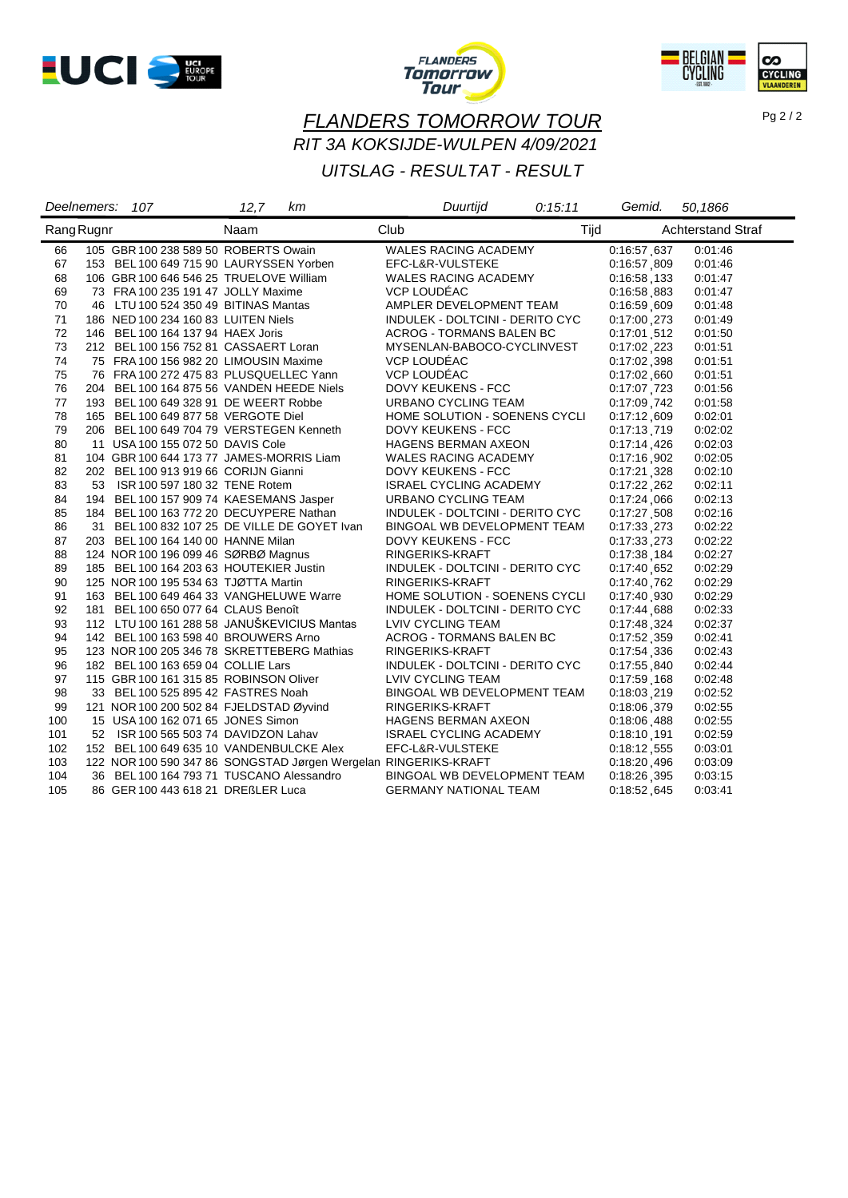





Pg 2 / 2

## *FLANDERS TOMORROW TOUR RIT 3A KOKSIJDE-WULPEN 4/09/2021*

## *UITSLAG - RESULTAT - RESULT*

|     | Deelnemers: | 107 | 12,7                                     | km                                           | Duurtijd                                                        | 0:15:11 | Gemid.      | 50,1866                  |
|-----|-------------|-----|------------------------------------------|----------------------------------------------|-----------------------------------------------------------------|---------|-------------|--------------------------|
|     | Rang Rugnr  |     | Naam                                     |                                              | Club                                                            | Tijd    |             | <b>Achterstand Straf</b> |
| 66  |             |     | 105 GBR 100 238 589 50 ROBERTS Owain     |                                              | WALES RACING ACADEMY                                            |         | 0:16:57.637 | 0.01.46                  |
| 67  |             |     | 153 BEL 100 649 715 90 LAURYSSEN Yorben  |                                              | EFC-L&R-VULSTEKE                                                |         | 0:16:57,809 | 0.01.46                  |
| 68  |             |     | 106 GBR 100 646 546 25 TRUELOVE William  |                                              | <b>WALES RACING ACADEMY</b>                                     |         | 0:16:58.133 | 0.01.47                  |
| 69  |             |     | 73 FRA 100 235 191 47 JOLLY Maxime       |                                              | VCP LOUDÉAC                                                     |         | 0:16:58.883 | 0:01:47                  |
| 70  |             |     | 46 LTU 100 524 350 49 BITINAS Mantas     |                                              | AMPLER DEVELOPMENT TEAM                                         |         | 0:16:59.609 | 0:01:48                  |
| 71  |             |     | 186 NED 100 234 160 83 LUITEN Niels      |                                              | INDULEK - DOLTCINI - DERITO CYC                                 |         | 0:17:00.273 | 0:01:49                  |
| 72  |             |     | 146 BEL 100 164 137 94 HAEX Joris        |                                              | <b>ACROG - TORMANS BALEN BC</b>                                 |         | 0:17:01.512 | 0:01:50                  |
| 73  |             |     | 212 BEL 100 156 752 81 CASSAERT Loran    |                                              | MYSENLAN-BABOCO-CYCLINVEST                                      |         | 0:17:02.223 | 0:01:51                  |
| 74  |             |     | 75 FRA 100 156 982 20 LIMOUSIN Maxime    |                                              | VCP LOUDÉAC                                                     |         | 0:17:02.398 | 0:01:51                  |
| 75  |             |     | 76 FRA 100 272 475 83 PLUSQUELLEC Yann   |                                              | VCP LOUDÉAC                                                     |         | 0:17:02.660 | 0:01:51                  |
| 76  |             |     |                                          | 204 BEL 100 164 875 56 VANDEN HEEDE Niels    | <b>DOVY KEUKENS - FCC</b>                                       |         | 0:17:07,723 | 0:01:56                  |
| 77  |             |     | 193 BEL 100 649 328 91 DE WEERT Robbe    |                                              | URBANO CYCLING TEAM                                             |         | 0:17:09,742 | 0:01:58                  |
| 78  |             |     | 165 BEL 100 649 877 58 VERGOTE Diel      |                                              | HOME SOLUTION - SOENENS CYCLI                                   |         | 0:17:12.609 | 0:02:01                  |
| 79  |             |     |                                          | 206 BEL 100 649 704 79 VERSTEGEN Kenneth     | <b>DOVY KEUKENS - FCC</b>                                       |         | 0:17:13.719 | 0:02:02                  |
| 80  |             |     | 11 USA 100 155 072 50 DAVIS Cole         |                                              | <b>HAGENS BERMAN AXEON</b>                                      |         | 0:17:14.426 | 0:02:03                  |
| 81  |             |     | 104 GBR 100 644 173 77 JAMES-MORRIS Liam |                                              | <b>WALES RACING ACADEMY</b>                                     |         | 0:17:16,902 | 0:02:05                  |
| 82  |             |     | 202 BEL 100 913 919 66 CORIJN Gianni     |                                              | DOVY KEUKENS - FCC                                              |         | 0:17:21,328 | 0:02:10                  |
| 83  |             |     | 53 ISR 100 597 180 32 TENE Rotem         |                                              | <b>ISRAEL CYCLING ACADEMY</b>                                   |         | 0:17:22,262 | 0.02:11                  |
| 84  |             |     | 194 BEL 100 157 909 74 KAESEMANS Jasper  |                                              | URBANO CYCLING TEAM                                             |         | 0:17:24.066 | 0:02:13                  |
| 85  |             |     | 184 BEL 100 163 772 20 DECUYPERE Nathan  |                                              | INDULEK - DOLTCINI - DERITO CYC                                 |         | 0:17:27.508 | 0:02:16                  |
| 86  |             |     |                                          | 31 BEL 100 832 107 25 DE VILLE DE GOYET Ivan | BINGOAL WB DEVELOPMENT TEAM                                     |         | 0:17:33.273 | 0:02:22                  |
| 87  |             |     | 203 BEL 100 164 140 00 HANNE Milan       |                                              | DOVY KEUKENS - FCC                                              |         | 0:17:33.273 | 0:02:22                  |
| 88  |             |     | 124 NOR 100 196 099 46 SØRBØ Magnus      |                                              | RINGERIKS-KRAFT                                                 |         | 0:17:38.184 | 0:02:27                  |
| 89  |             |     | 185 BEL 100 164 203 63 HOUTEKIER Justin  |                                              | INDULEK - DOLTCINI - DERITO CYC                                 |         | 0:17:40,652 | 0:02:29                  |
| 90  |             |     | 125 NOR 100 195 534 63 TJØTTA Martin     |                                              | RINGERIKS-KRAFT                                                 |         | 0:17:40.762 | 0:02:29                  |
| 91  |             |     |                                          | 163 BEL 100 649 464 33 VANGHELUWE Warre      | HOME SOLUTION - SOENENS CYCLI                                   |         | 0:17:40.930 | 0.02.29                  |
| 92  |             |     | 181 BEL 100 650 077 64 CLAUS Benoît      |                                              | INDULEK - DOLTCINI - DERITO CYC                                 |         | 0:17:44,688 | 0:02:33                  |
| 93  |             |     |                                          | 112 LTU 100 161 288 58 JANUŠKEVICIUS Mantas  | LVIV CYCLING TEAM                                               |         | 0:17:48,324 | 0:02:37                  |
| 94  |             |     | 142 BEL 100 163 598 40 BROUWERS Arno     |                                              | ACROG - TORMANS BALEN BC                                        |         | 0:17:52,359 | 0:02:41                  |
| 95  |             |     |                                          | 123 NOR 100 205 346 78 SKRETTEBERG Mathias   | RINGERIKS-KRAFT                                                 |         | 0:17:54 336 | 0:02:43                  |
| 96  |             |     | 182 BEL 100 163 659 04 COLLIE Lars       |                                              | INDULEK - DOLTCINI - DERITO CYC                                 |         | 0:17:55,840 | 0.02:44                  |
| 97  |             |     | 115 GBR 100 161 315 85 ROBINSON Oliver   |                                              | LVIV CYCLING TEAM                                               |         | 0:17:59,168 | 0:02:48                  |
| 98  |             |     | 33 BEL 100 525 895 42 FASTRES Noah       |                                              | BINGOAL WB DEVELOPMENT TEAM                                     |         | 0:18:03.219 | 0:02:52                  |
| 99  |             |     | 121 NOR 100 200 502 84 FJELDSTAD Øyvind  |                                              | RINGERIKS-KRAFT                                                 |         | 0:18:06.379 | 0:02:55                  |
| 100 |             |     | 15 USA 100 162 071 65 JONES Simon        |                                              | HAGENS BERMAN AXEON                                             |         | 0:18:06.488 | 0:02:55                  |
| 101 |             |     | 52 ISR 100 565 503 74 DAVIDZON Lahav     |                                              | <b>ISRAEL CYCLING ACADEMY</b>                                   |         | 0:18:10.191 | 0:02:59                  |
| 102 |             |     |                                          | 152 BEL 100 649 635 10 VANDENBULCKE Alex     | EFC-L&R-VULSTEKE                                                |         | 0:18:12,555 | 0:03:01                  |
| 103 |             |     |                                          |                                              | 122 NOR 100 590 347 86 SONGSTAD Jørgen Wergelan RINGERIKS-KRAFT |         | 0:18:20,496 | 0:03:09                  |
| 104 |             |     |                                          | 36 BEL 100 164 793 71 TUSCANO Alessandro     | BINGOAL WB DEVELOPMENT TEAM                                     |         | 0:18:26,395 | 0.03.15                  |
| 105 |             |     | 86 GER 100 443 618 21 DREßLER Luca       |                                              | <b>GERMANY NATIONAL TEAM</b>                                    |         | 0:18:52.645 | 0:03:41                  |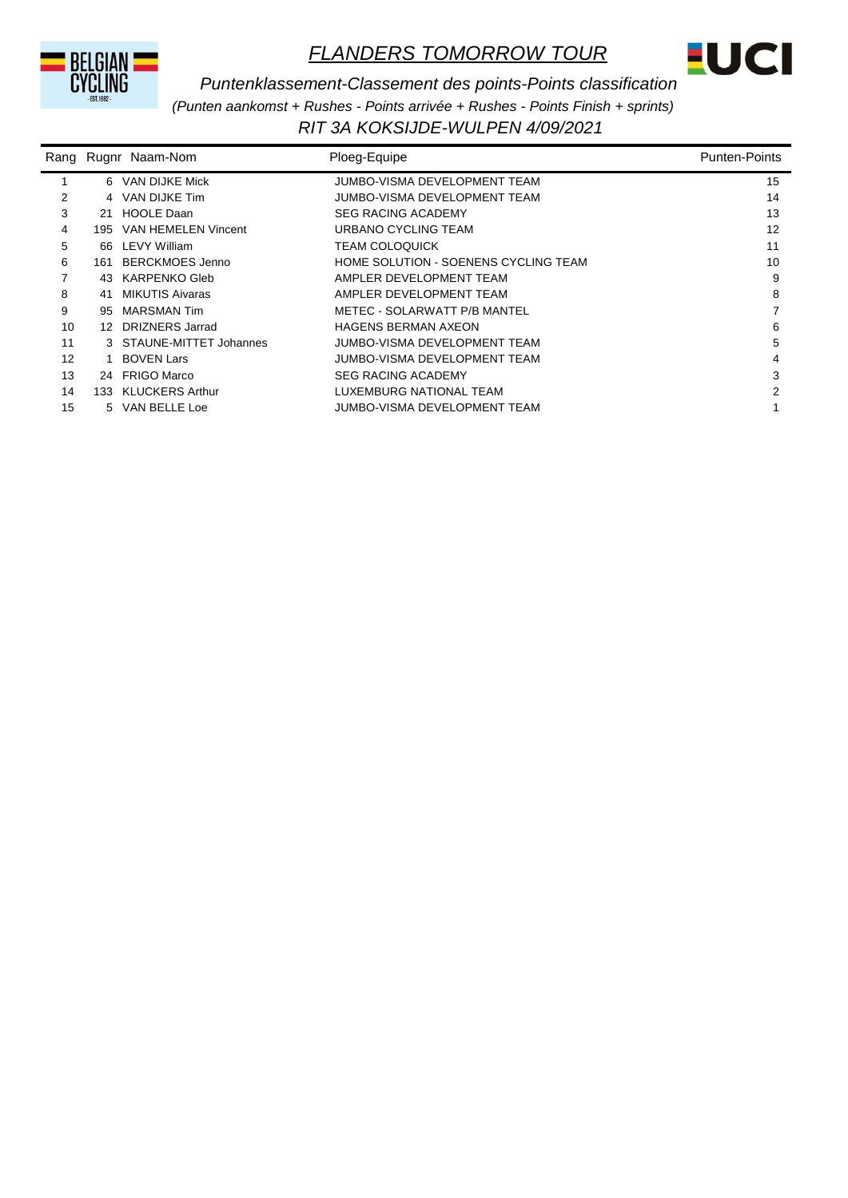



*RIT 3A KOKSIJDE-WULPEN 4/09/2021 Puntenklassement-Classement des points-Points classification (Punten aankomst + Rushes - Points arrivée + Rushes - Points Finish + sprints)*

|    |     | Rang Rugnr Naam-Nom      | Ploeg-Equipe                         | <b>Punten-Points</b> |
|----|-----|--------------------------|--------------------------------------|----------------------|
|    |     | 6 VAN DIJKE Mick         | JUMBO-VISMA DEVELOPMENT TEAM         | 15                   |
| 2  |     | 4 VAN DIJKE Tim          | JUMBO-VISMA DEVELOPMENT TEAM         | 14                   |
| 3  | 21  | <b>HOOLE Daan</b>        | <b>SEG RACING ACADEMY</b>            | 13                   |
| 4  | 195 | VAN HEMELEN Vincent      | URBANO CYCLING TEAM                  | 12                   |
| 5  |     | 66 LEVY William          | <b>TEAM COLOQUICK</b>                | 11                   |
| 6  | 161 | <b>BERCKMOES Jenno</b>   | HOME SOLUTION - SOENENS CYCLING TEAM | 10                   |
|    |     | 43 KARPENKO Gleb         | AMPLER DEVELOPMENT TEAM              | 9                    |
| 8  | 41  | <b>MIKUTIS Aivaras</b>   | AMPLER DEVELOPMENT TEAM              | 8                    |
| 9  | 95  | <b>MARSMAN Tim</b>       | METEC - SOLARWATT P/B MANTEL         |                      |
| 10 |     | 12 DRIZNERS Jarrad       | <b>HAGENS BERMAN AXEON</b>           | 6                    |
| 11 |     | 3 STAUNE-MITTET Johannes | JUMBO-VISMA DEVELOPMENT TEAM         | 5                    |
| 12 |     | 1 BOVEN Lars             | JUMBO-VISMA DEVELOPMENT TEAM         | 4                    |
| 13 |     | 24 FRIGO Marco           | <b>SEG RACING ACADEMY</b>            | 3                    |
| 14 | 133 | <b>KLUCKERS Arthur</b>   | LUXEMBURG NATIONAL TEAM              | 2                    |
| 15 |     | 5 VAN BELLE Loe          | JUMBO-VISMA DEVELOPMENT TEAM         |                      |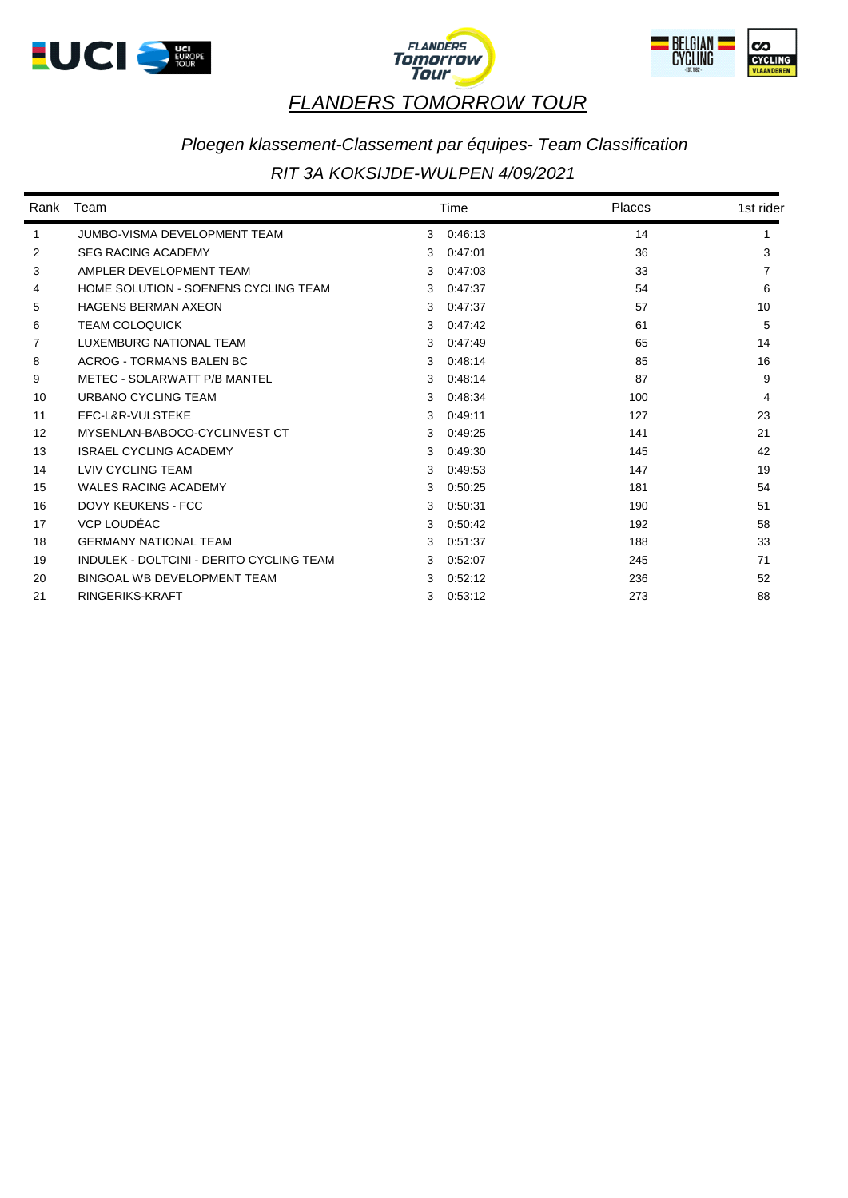





#### *Ploegen klassement-Classement par équipes- Team Classification*

#### *RIT 3A KOKSIJDE-WULPEN 4/09/2021*

| Rank | Team                                     |   | Time    | Places | 1st rider |  |
|------|------------------------------------------|---|---------|--------|-----------|--|
| 1    | <b>JUMBO-VISMA DEVELOPMENT TEAM</b>      | 3 | 0:46:13 | 14     |           |  |
| 2    | <b>SEG RACING ACADEMY</b>                | 3 | 0:47:01 | 36     | 3         |  |
| 3    | AMPLER DEVELOPMENT TEAM                  | 3 | 0:47:03 | 33     |           |  |
| 4    | HOME SOLUTION - SOENENS CYCLING TEAM     | 3 | 0:47:37 | 54     | 6         |  |
| 5    | <b>HAGENS BERMAN AXEON</b>               | 3 | 0:47:37 | 57     | 10        |  |
| 6    | <b>TEAM COLOQUICK</b>                    | 3 | 0:47:42 | 61     | 5         |  |
| 7    | LUXEMBURG NATIONAL TEAM                  | 3 | 0:47:49 | 65     | 14        |  |
| 8    | <b>ACROG - TORMANS BALEN BC</b>          | 3 | 0:48:14 | 85     | 16        |  |
| 9    | METEC - SOLARWATT P/B MANTEL             | 3 | 0:48:14 | 87     | 9         |  |
| 10   | URBANO CYCLING TEAM                      | 3 | 0:48:34 | 100    | 4         |  |
| 11   | EFC-L&R-VULSTEKE                         | 3 | 0:49:11 | 127    | 23        |  |
| 12   | MYSENLAN-BABOCO-CYCLINVEST CT            | 3 | 0:49:25 | 141    | 21        |  |
| 13   | <b>ISRAEL CYCLING ACADEMY</b>            | 3 | 0:49:30 | 145    | 42        |  |
| 14   | <b>LVIV CYCLING TEAM</b>                 | 3 | 0.49.53 | 147    | 19        |  |
| 15   | <b>WALES RACING ACADEMY</b>              | 3 | 0:50:25 | 181    | 54        |  |
| 16   | DOVY KEUKENS - FCC                       | 3 | 0:50:31 | 190    | 51        |  |
| 17   | VCP LOUDÉAC                              | 3 | 0:50:42 | 192    | 58        |  |
| 18   | <b>GERMANY NATIONAL TEAM</b>             | 3 | 0:51:37 | 188    | 33        |  |
| 19   | INDULEK - DOLTCINI - DERITO CYCLING TEAM | 3 | 0:52:07 | 245    | 71        |  |
| 20   | BINGOAL WB DEVELOPMENT TEAM              | 3 | 0.52:12 | 236    | 52        |  |
| 21   | RINGERIKS-KRAFT                          | 3 | 0:53:12 | 273    | 88        |  |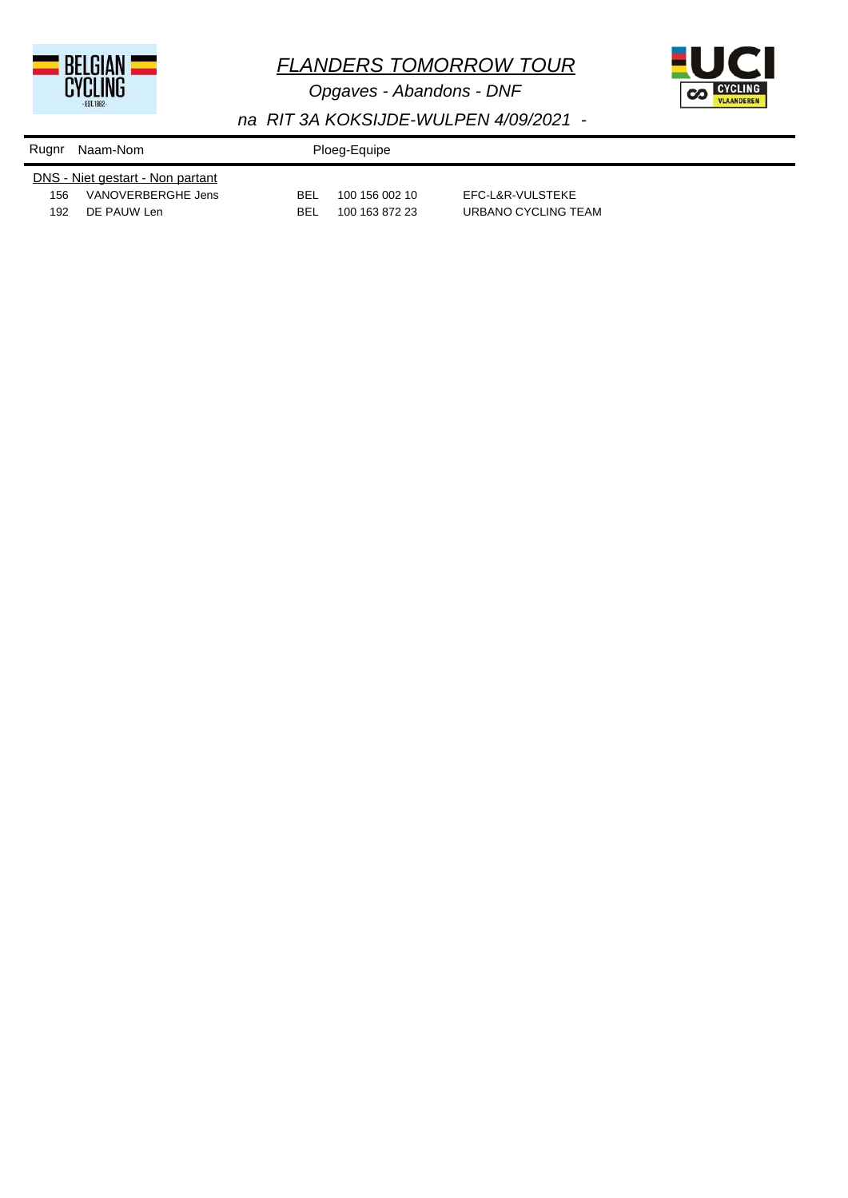

*Opgaves - Abandons - DNF*



| Rugnr                            | Naam-Nom           |            | Ploeg-Equipe   |                     |  |  |
|----------------------------------|--------------------|------------|----------------|---------------------|--|--|
| DNS - Niet gestart - Non partant |                    |            |                |                     |  |  |
| 156                              | VANOVERBERGHE Jens | <b>BEL</b> | 100 156 002 10 | EFC-L&R-VULSTEKE    |  |  |
| 192                              | DE PAUW Len        | BEI        | 100 163 872 23 | URBANO CYCLING TEAM |  |  |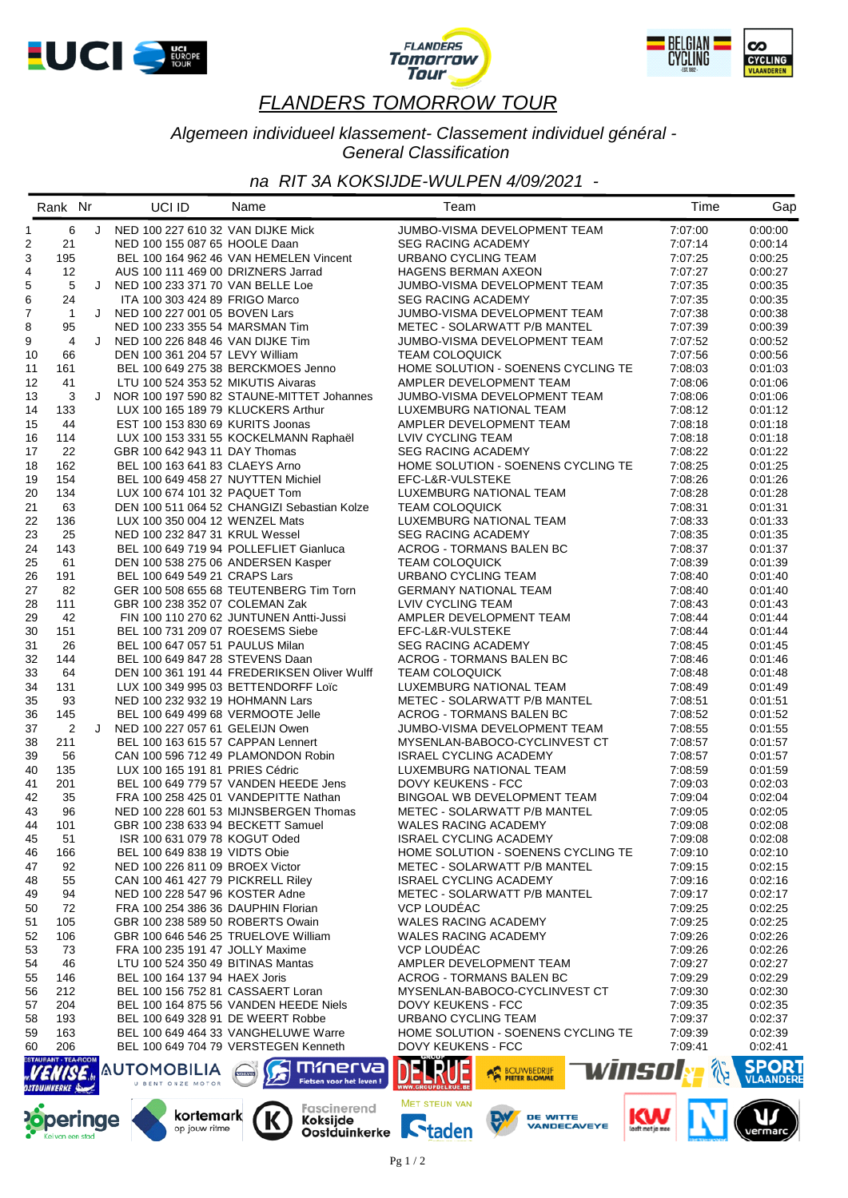





#### *Algemeen individueel klassement- Classement individuel général - General Classification*

#### *na RIT 3A KOKSIJDE-WULPEN 4/09/2021 -*

|                | Rank Nr                     |   | UCI ID                                                               | Name                                        | Team                                                          |        | Time               | Gap                              |
|----------------|-----------------------------|---|----------------------------------------------------------------------|---------------------------------------------|---------------------------------------------------------------|--------|--------------------|----------------------------------|
| 1              | 6                           |   | J NED 100 227 610 32 VAN DIJKE Mick                                  |                                             | JUMBO-VISMA DEVELOPMENT TEAM                                  |        | 7:07:00            | 0:00:00                          |
| $\overline{c}$ | 21                          |   | NED 100 155 087 65 HOOLE Daan                                        |                                             | <b>SEG RACING ACADEMY</b>                                     |        | 7:07:14            | 0:00:14                          |
| 3              | 195                         |   |                                                                      | BEL 100 164 962 46 VAN HEMELEN Vincent      | URBANO CYCLING TEAM                                           |        | 7:07:25            | 0:00:25                          |
| $\overline{4}$ | 12                          |   | AUS 100 111 469 00 DRIZNERS Jarrad                                   |                                             | <b>HAGENS BERMAN AXEON</b>                                    |        | 7:07:27            | 0:00:27                          |
| 5              | 5                           | J | NED 100 233 371 70 VAN BELLE Loe                                     |                                             | JUMBO-VISMA DEVELOPMENT TEAM                                  |        | 7:07:35            | 0:00:35                          |
| 6              | 24                          |   | ITA 100 303 424 89 FRIGO Marco                                       |                                             | <b>SEG RACING ACADEMY</b>                                     |        | 7:07:35            | 0:00:35                          |
| $\overline{7}$ | $\overline{1}$              | J | NED 100 227 001 05 BOVEN Lars                                        |                                             | JUMBO-VISMA DEVELOPMENT TEAM                                  |        | 7:07:38            | 0:00:38                          |
| 8              | 95                          |   | NED 100 233 355 54 MARSMAN Tim                                       |                                             | METEC - SOLARWATT P/B MANTEL                                  |        | 7:07:39            | 0:00:39                          |
| 9              | $\overline{4}$              | J | NED 100 226 848 46 VAN DIJKE Tim                                     |                                             | JUMBO-VISMA DEVELOPMENT TEAM                                  |        | 7:07:52            | 0:00:52                          |
| 10             | 66                          |   | DEN 100 361 204 57 LEVY William                                      |                                             | <b>TEAM COLOQUICK</b>                                         |        | 7:07:56            | 0:00:56                          |
| 11             | 161                         |   |                                                                      | BEL 100 649 275 38 BERCKMOES Jenno          | HOME SOLUTION - SOENENS CYCLING TE                            |        | 7:08:03            | 0:01:03                          |
| 12             | 41                          |   | LTU 100 524 353 52 MIKUTIS Aivaras                                   |                                             | AMPLER DEVELOPMENT TEAM                                       |        | 7:08:06            | 0:01:06                          |
| 13             | 3                           | J |                                                                      | NOR 100 197 590 82 STAUNE-MITTET Johannes   | JUMBO-VISMA DEVELOPMENT TEAM                                  |        | 7:08:06            | 0:01:06                          |
| 14             | 133                         |   | LUX 100 165 189 79 KLUCKERS Arthur                                   |                                             | LUXEMBURG NATIONAL TEAM                                       |        | 7:08:12            | 0:01:12                          |
| 15             | 44                          |   | EST 100 153 830 69 KURITS Joonas                                     |                                             | AMPLER DEVELOPMENT TEAM                                       |        | 7:08:18            | 0:01:18                          |
| 16             | 114                         |   |                                                                      | LUX 100 153 331 55 KOCKELMANN Raphaël       | LVIV CYCLING TEAM                                             |        | 7:08:18            | 0:01:18                          |
| 17             | 22                          |   | GBR 100 642 943 11 DAY Thomas                                        |                                             | <b>SEG RACING ACADEMY</b>                                     |        | 7:08:22            | 0:01:22                          |
| 18             | 162                         |   | BEL 100 163 641 83 CLAEYS Arno                                       |                                             | HOME SOLUTION - SOENENS CYCLING TE                            |        | 7:08:25            | 0:01:25                          |
| 19             | 154                         |   | BEL 100 649 458 27 NUYTTEN Michiel                                   |                                             | EFC-L&R-VULSTEKE                                              |        | 7:08:26            | 0:01:26                          |
| 20             | 134                         |   | LUX 100 674 101 32 PAQUET Tom                                        |                                             | LUXEMBURG NATIONAL TEAM                                       |        | 7:08:28            | 0.01.28                          |
| 21             | 63                          |   |                                                                      | DEN 100 511 064 52 CHANGIZI Sebastian Kolze | <b>TEAM COLOQUICK</b>                                         |        | 7:08:31            | 0:01:31                          |
| 22             | 136                         |   | LUX 100 350 004 12 WENZEL Mats                                       |                                             | LUXEMBURG NATIONAL TEAM                                       |        | 7:08:33            | 0:01:33                          |
| 23             | 25                          |   | NED 100 232 847 31 KRUL Wessel                                       |                                             | <b>SEG RACING ACADEMY</b>                                     |        | 7:08:35            | 0:01:35                          |
| 24             | 143                         |   |                                                                      | BEL 100 649 719 94 POLLEFLIET Gianluca      | <b>ACROG - TORMANS BALEN BC</b>                               |        | 7:08:37            | 0:01:37                          |
| 25             | 61                          |   | DEN 100 538 275 06 ANDERSEN Kasper                                   |                                             | <b>TEAM COLOQUICK</b>                                         |        | 7:08:39            | 0:01:39                          |
| 26             | 191                         |   | BEL 100 649 549 21 CRAPS Lars                                        |                                             | URBANO CYCLING TEAM                                           |        | 7:08:40            | 0:01:40                          |
| 27             | 82                          |   |                                                                      | GER 100 508 655 68 TEUTENBERG Tim Torn      | <b>GERMANY NATIONAL TEAM</b>                                  |        | 7:08:40            | 0:01:40                          |
| 28             | 111                         |   | GBR 100 238 352 07 COLEMAN Zak                                       |                                             | LVIV CYCLING TEAM                                             |        | 7:08:43            | 0:01:43                          |
| 29             | 42                          |   |                                                                      | FIN 100 110 270 62 JUNTUNEN Antti-Jussi     | AMPLER DEVELOPMENT TEAM                                       |        | 7:08:44            | 0:01:44                          |
| 30             | 151                         |   | BEL 100 731 209 07 ROESEMS Siebe                                     |                                             | EFC-L&R-VULSTEKE                                              |        | 7:08:44            | 0:01:44                          |
| 31             | 26                          |   | BEL 100 647 057 51 PAULUS Milan                                      |                                             | <b>SEG RACING ACADEMY</b>                                     |        | 7:08:45            | 0:01:45                          |
| 32             | 144                         |   | BEL 100 649 847 28 STEVENS Daan                                      |                                             | ACROG - TORMANS BALEN BC                                      |        | 7:08:46            | 0:01:46                          |
| 33             | 64                          |   |                                                                      | DEN 100 361 191 44 FREDERIKSEN Oliver Wulff | <b>TEAM COLOQUICK</b>                                         |        | 7:08:48            | 0:01:48                          |
| 34             | 131                         |   |                                                                      | LUX 100 349 995 03 BETTENDORFF Loïc         | LUXEMBURG NATIONAL TEAM                                       |        | 7:08:49            | 0.01.49                          |
| 35             | 93                          |   | NED 100 232 932 19 HOHMANN Lars                                      |                                             | METEC - SOLARWATT P/B MANTEL                                  |        | 7:08:51            | 0:01:51                          |
| 36             | 145                         |   | BEL 100 649 499 68 VERMOOTE Jelle                                    |                                             | ACROG - TORMANS BALEN BC                                      |        | 7:08:52            | 0:01:52                          |
| 37             | $\overline{2}$              | J | NED 100 227 057 61 GELEIJN Owen                                      |                                             | JUMBO-VISMA DEVELOPMENT TEAM                                  |        | 7:08:55            | 0:01:55                          |
| 38             | 211                         |   | BEL 100 163 615 57 CAPPAN Lennert                                    |                                             | MYSENLAN-BABOCO-CYCLINVEST CT                                 |        | 7:08:57            | 0:01:57                          |
| 39             | 56                          |   | CAN 100 596 712 49 PLAMONDON Robin                                   |                                             | <b>ISRAEL CYCLING ACADEMY</b>                                 |        | 7:08:57            | 0:01:57                          |
| 40             | 135                         |   | LUX 100 165 191 81 PRIES Cédric                                      |                                             | LUXEMBURG NATIONAL TEAM                                       |        | 7:08:59            | 0:01:59                          |
| 41             | 201                         |   |                                                                      | BEL 100 649 779 57 VANDEN HEEDE Jens        | DOVY KEUKENS - FCC                                            |        | 7:09:03            | 0:02:03                          |
| 42             | 35                          |   |                                                                      | FRA 100 258 425 01 VANDEPITTE Nathan        | BINGOAL WB DEVELOPMENT TEAM                                   |        | 7:09:04            | 0:02:04                          |
| 43             | 96                          |   |                                                                      | NED 100 228 601 53 MIJNSBERGEN Thomas       | METEC - SOLARWATT P/B MANTEL                                  |        | 7:09:05            | 0:02:05                          |
| 44             | 101                         |   | GBR 100 238 633 94 BECKETT Samuel                                    |                                             | WALES RACING ACADEMY                                          |        | 7:09:08            | 0:02:08                          |
| 45             | 51                          |   | ISR 100 631 079 78 KOGUT Oded                                        |                                             | ISRAEL CYCLING ACADEMY                                        |        | 7:09:08            | 0:02:08                          |
| 46             | 166                         |   | BEL 100 649 838 19 VIDTS Obie                                        |                                             | HOME SOLUTION - SOENENS CYCLING TE                            |        | 7:09:10            | 0:02:10                          |
| 47             | 92                          |   | NED 100 226 811 09 BROEX Victor<br>CAN 100 461 427 79 PICKRELL Riley |                                             | METEC - SOLARWATT P/B MANTEL<br><b>ISRAEL CYCLING ACADEMY</b> |        | 7:09:15            | 0.02:15                          |
| 48             | 55                          |   |                                                                      |                                             |                                                               |        | 7:09:16            | 0.02:16                          |
| 49             | 94                          |   | NED 100 228 547 96 KOSTER Adne                                       |                                             | METEC - SOLARWATT P/B MANTEL                                  |        | 7:09:17            | 0:02:17                          |
| 50             | 72                          |   | FRA 100 254 386 36 DAUPHIN Florian                                   |                                             | <b>VCP LOUDEAC</b><br><b>WALES RACING ACADEMY</b>             |        | 7:09:25            | 0.02:25                          |
| 51             | 105                         |   | GBR 100 238 589 50 ROBERTS Owain                                     |                                             |                                                               |        | 7:09:25            | 0:02:25                          |
| 52             | 106                         |   | GBR 100 646 546 25 TRUELOVE William                                  |                                             | <b>WALES RACING ACADEMY</b>                                   |        | 7:09:26            | 0:02:26                          |
| 53<br>54       | 73<br>46                    |   | FRA 100 235 191 47 JOLLY Maxime<br>LTU 100 524 350 49 BITINAS Mantas |                                             | VCP LOUDÉAC<br>AMPLER DEVELOPMENT TEAM                        |        | 7:09:26<br>7:09:27 | 0:02:26<br>0:02:27               |
|                |                             |   | BEL 100 164 137 94 HAEX Joris                                        |                                             | ACROG - TORMANS BALEN BC                                      |        | 7:09:29            | 0:02:29                          |
| 55<br>56       | 146<br>212                  |   | BEL 100 156 752 81 CASSAERT Loran                                    |                                             | MYSENLAN-BABOCO-CYCLINVEST CT                                 |        | 7:09:30            | 0:02:30                          |
| 57             | 204                         |   |                                                                      | BEL 100 164 875 56 VANDEN HEEDE Niels       | <b>DOVY KEUKENS - FCC</b>                                     |        | 7:09:35            | 0:02:35                          |
| 58             | 193                         |   | BEL 100 649 328 91 DE WEERT Robbe                                    |                                             | URBANO CYCLING TEAM                                           |        | 7:09:37            | 0:02:37                          |
| 59             | 163                         |   |                                                                      | BEL 100 649 464 33 VANGHELUWE Warre         | HOME SOLUTION - SOENENS CYCLING TE                            |        | 7:09:39            | 0:02:39                          |
| 60             | 206                         |   |                                                                      | BEL 100 649 704 79 VERSTEGEN Kenneth        | DOVY KEUKENS - FCC                                            |        | 7:09:41            | 0.02:41                          |
|                | <b>ESTAURANT - TEA-ROOM</b> |   |                                                                      |                                             |                                                               |        |                    |                                  |
|                |                             |   | <b>AUTOMOBILIA</b><br>U BENT ONZE MOTOR                              | mmerva<br>vorvo<br>Fietsen voor het leven ! | <b>BOUWBEDRUF</b>                                             | winsol |                    | <b>SPORT</b><br><b>VLAANDERE</b> |



kortemark

op jouw ritme

K

Fascinerend<br>**Koksijde**<br>**Oostduinkerke** 

MET STEUN VAN

**Staden** 



Κ

 $\mathbf{U}$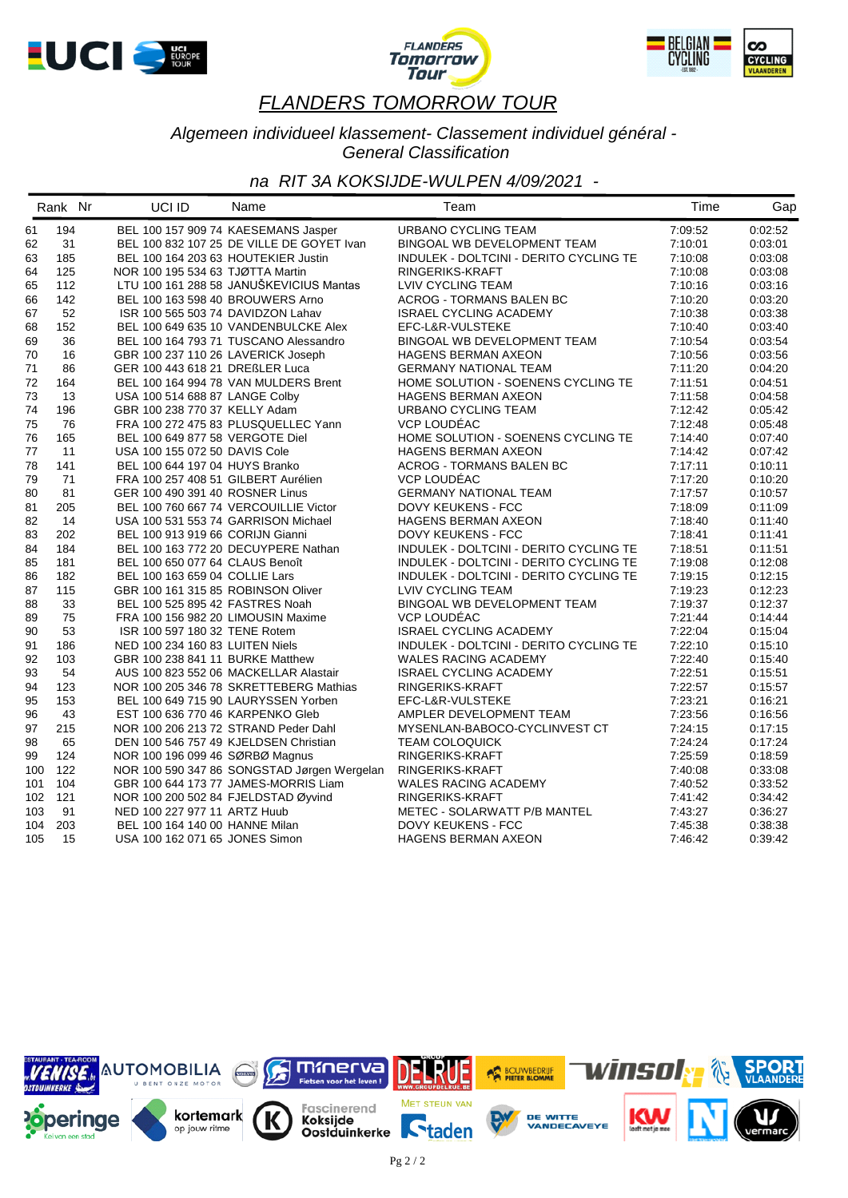





#### *Algemeen individueel klassement- Classement individuel général - General Classification*

|     | Rank Nr | UCI ID                             | Name                                        | Team                                   | Time    | Gap     |
|-----|---------|------------------------------------|---------------------------------------------|----------------------------------------|---------|---------|
| 61  | 194     |                                    | BEL 100 157 909 74 KAESEMANS Jasper         | URBANO CYCLING TEAM                    | 7:09:52 | 0:02:52 |
| 62  | 31      |                                    | BEL 100 832 107 25 DE VILLE DE GOYET Ivan   | BINGOAL WB DEVELOPMENT TEAM            | 7:10:01 | 0:03:01 |
| 63  | 185     |                                    | BEL 100 164 203 63 HOUTEKIER Justin         | INDULEK - DOLTCINI - DERITO CYCLING TE | 7:10:08 | 0:03:08 |
| 64  | 125     | NOR 100 195 534 63 TJØTTA Martin   |                                             | RINGERIKS-KRAFT                        | 7:10:08 | 0:03:08 |
| 65  | 112     |                                    | LTU 100 161 288 58 JANUŠKEVICIUS Mantas     | LVIV CYCLING TEAM                      | 7:10:16 | 0:03:16 |
| 66  | 142     |                                    | BEL 100 163 598 40 BROUWERS Arno            | <b>ACROG - TORMANS BALEN BC</b>        | 7:10:20 | 0:03:20 |
| 67  | 52      |                                    | ISR 100 565 503 74 DAVIDZON Lahav           | <b>ISRAEL CYCLING ACADEMY</b>          | 7:10:38 | 0:03:38 |
| 68  | 152     |                                    | BEL 100 649 635 10 VANDENBULCKE Alex        | EFC-L&R-VULSTEKE                       | 7:10:40 | 0:03:40 |
| 69  | 36      |                                    | BEL 100 164 793 71 TUSCANO Alessandro       | BINGOAL WB DEVELOPMENT TEAM            | 7:10:54 | 0:03:54 |
| 70  | 16      |                                    | GBR 100 237 110 26 LAVERICK Joseph          | HAGENS BERMAN AXEON                    | 7:10:56 | 0:03:56 |
| 71  | 86      | GER 100 443 618 21 DREßLER Luca    |                                             | <b>GERMANY NATIONAL TEAM</b>           | 7:11:20 | 0:04:20 |
| 72  | 164     |                                    | BEL 100 164 994 78 VAN MULDERS Brent        | HOME SOLUTION - SOENENS CYCLING TE     | 7:11:51 | 0:04:51 |
| 73  | 13      | USA 100 514 688 87 LANGE Colby     |                                             | <b>HAGENS BERMAN AXEON</b>             | 7:11:58 | 0:04:58 |
| 74  | 196     | GBR 100 238 770 37 KELLY Adam      |                                             | URBANO CYCLING TEAM                    | 7:12:42 | 0:05:42 |
| 75  | 76      |                                    | FRA 100 272 475 83 PLUSQUELLEC Yann         | VCP LOUDÉAC                            | 7:12:48 | 0:05:48 |
| 76  | 165     | BEL 100 649 877 58 VERGOTE Diel    |                                             | HOME SOLUTION - SOENENS CYCLING TE     | 7:14:40 | 0:07:40 |
| 77  | 11      | USA 100 155 072 50 DAVIS Cole      |                                             | <b>HAGENS BERMAN AXEON</b>             | 7:14:42 | 0:07:42 |
| 78  | 141     | BEL 100 644 197 04 HUYS Branko     |                                             | ACROG - TORMANS BALEN BC               | 7:17:11 | 0:10:11 |
| 79  | 71      |                                    | FRA 100 257 408 51 GILBERT Aurélien         | VCP LOUDEAC                            | 7:17:20 | 0:10:20 |
| 80  | 81      | GER 100 490 391 40 ROSNER Linus    |                                             | <b>GERMANY NATIONAL TEAM</b>           | 7:17:57 | 0:10:57 |
| 81  | 205     |                                    | BEL 100 760 667 74 VERCOUILLIE Victor       | DOVY KEUKENS - FCC                     | 7:18:09 | 0.11.09 |
| 82  | 14      |                                    | USA 100 531 553 74 GARRISON Michael         | <b>HAGENS BERMAN AXEON</b>             | 7:18:40 | 0:11:40 |
| 83  | 202     | BEL 100 913 919 66 CORIJN Gianni   |                                             | DOVY KEUKENS - FCC                     | 7:18:41 | 0.11.41 |
| 84  | 184     |                                    | BEL 100 163 772 20 DECUYPERE Nathan         | INDULEK - DOLTCINI - DERITO CYCLING TE | 7:18:51 | 0:11:51 |
| 85  | 181     | BEL 100 650 077 64 CLAUS Benoît    |                                             | INDULEK - DOLTCINI - DERITO CYCLING TE | 7:19:08 | 0:12:08 |
| 86  | 182     | BEL 100 163 659 04 COLLIE Lars     |                                             | INDULEK - DOLTCINI - DERITO CYCLING TE | 7:19:15 | 0:12:15 |
| 87  | 115     | GBR 100 161 315 85 ROBINSON Oliver |                                             | LVIV CYCLING TEAM                      | 7:19:23 | 0:12:23 |
| 88  | 33      | BEL 100 525 895 42 FASTRES Noah    |                                             | BINGOAL WB DEVELOPMENT TEAM            | 7:19:37 | 0:12:37 |
| 89  | 75      |                                    | FRA 100 156 982 20 LIMOUSIN Maxime          | VCP LOUDEAC                            | 7:21:44 | 0:14:44 |
| 90  | 53      | ISR 100 597 180 32 TENE Rotem      |                                             | <b>ISRAEL CYCLING ACADEMY</b>          | 7:22:04 | 0:15:04 |
| 91  | 186     | NED 100 234 160 83 LUITEN Niels    |                                             | INDULEK - DOLTCINI - DERITO CYCLING TE | 7:22:10 | 0:15:10 |
| 92  | 103     | GBR 100 238 841 11 BURKE Matthew   |                                             | WALES RACING ACADEMY                   | 7:22:40 | 0.15:40 |
| 93  | 54      |                                    | AUS 100 823 552 06 MACKELLAR Alastair       | <b>ISRAEL CYCLING ACADEMY</b>          | 7:22:51 | 0:15:51 |
| 94  | 123     |                                    | NOR 100 205 346 78 SKRETTEBERG Mathias      | RINGERIKS-KRAFT                        | 7:22:57 | 0:15:57 |
| 95  | 153     |                                    | BEL 100 649 715 90 LAURYSSEN Yorben         | EFC-L&R-VULSTEKE                       | 7:23:21 | 0.16.21 |
| 96  | 43      | EST 100 636 770 46 KARPENKO Gleb   |                                             | AMPLER DEVELOPMENT TEAM                | 7:23:56 | 0.16.56 |
| 97  | 215     |                                    | NOR 100 206 213 72 STRAND Peder Dahl        | MYSENLAN-BABOCO-CYCLINVEST CT          | 7:24:15 | 0:17:15 |
| 98  | 65      |                                    | DEN 100 546 757 49 KJELDSEN Christian       | <b>TEAM COLOQUICK</b>                  | 7:24:24 | 0.17.24 |
| 99  | 124     | NOR 100 196 099 46 SØRBØ Magnus    |                                             | RINGERIKS-KRAFT                        | 7:25:59 | 0:18:59 |
| 100 | 122     |                                    | NOR 100 590 347 86 SONGSTAD Jørgen Wergelan | RINGERIKS-KRAFT                        | 7:40:08 | 0:33:08 |
| 101 | 104     |                                    | GBR 100 644 173 77 JAMES-MORRIS Liam        | WALES RACING ACADEMY                   | 7:40:52 | 0.33.52 |
| 102 | 121     |                                    | NOR 100 200 502 84 FJELDSTAD Øyvind         | RINGERIKS-KRAFT                        | 7:41:42 | 0:34:42 |
| 103 | 91      | NED 100 227 977 11 ARTZ Huub       |                                             | METEC - SOLARWATT P/B MANTEL           | 7:43:27 | 0:36:27 |
| 104 | 203     | BEL 100 164 140 00 HANNE Milan     |                                             | <b>DOVY KEUKENS - FCC</b>              | 7:45:38 | 0:38:38 |
| 105 | 15      | USA 100 162 071 65 JONES Simon     |                                             | <b>HAGENS BERMAN AXEON</b>             | 7:46:42 | 0:39:42 |
|     |         |                                    |                                             |                                        |         |         |

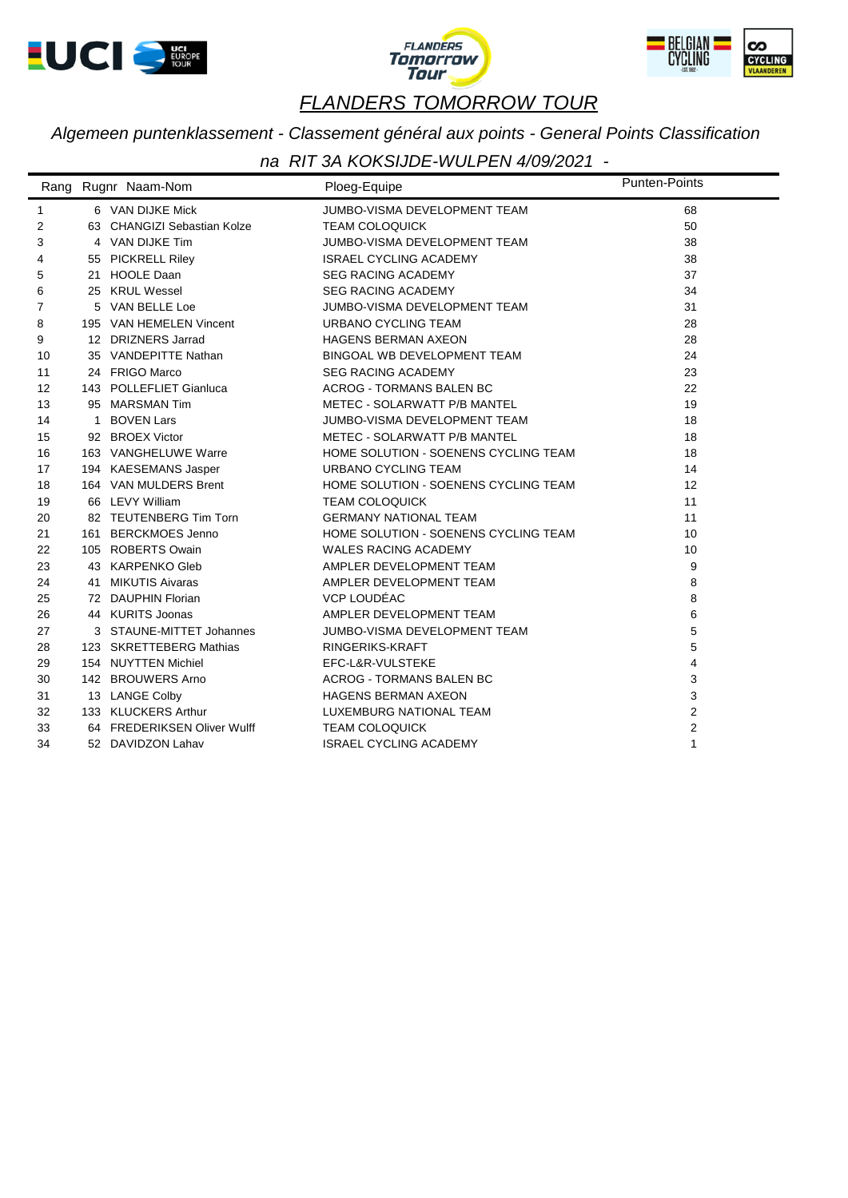





*Algemeen puntenklassement - Classement général aux points - General Points Classification*

|                | Rang Rugnr Naam-Nom         | Ploeg-Equipe                         | <b>Punten-Points</b> |
|----------------|-----------------------------|--------------------------------------|----------------------|
| 1              | 6 VAN DIJKE Mick            | JUMBO-VISMA DEVELOPMENT TEAM         | 68                   |
| 2              | 63 CHANGIZI Sebastian Kolze | <b>TEAM COLOQUICK</b>                | 50                   |
| 3              | 4 VAN DIJKE Tim             | JUMBO-VISMA DEVELOPMENT TEAM         | 38                   |
| 4              | 55 PICKRELL Riley           | <b>ISRAEL CYCLING ACADEMY</b>        | 38                   |
| 5              | 21 HOOLE Daan               | <b>SEG RACING ACADEMY</b>            | 37                   |
| 6              | 25 KRUL Wessel              | <b>SEG RACING ACADEMY</b>            | 34                   |
| $\overline{7}$ | 5 VAN BELLE Loe             | JUMBO-VISMA DEVELOPMENT TEAM         | 31                   |
| 8              | 195 VAN HEMELEN Vincent     | <b>URBANO CYCLING TEAM</b>           | 28                   |
| 9              | 12 DRIZNERS Jarrad          | <b>HAGENS BERMAN AXEON</b>           | 28                   |
| 10             | 35 VANDEPITTE Nathan        | BINGOAL WB DEVELOPMENT TEAM          | 24                   |
| 11             | 24 FRIGO Marco              | <b>SEG RACING ACADEMY</b>            | 23                   |
| 12             | 143 POLLEFLIET Gianluca     | <b>ACROG - TORMANS BALEN BC</b>      | 22                   |
| 13             | 95 MARSMAN Tim              | METEC - SOLARWATT P/B MANTEL         | 19                   |
| 14             | 1 BOVEN Lars                | JUMBO-VISMA DEVELOPMENT TEAM         | 18                   |
| 15             | 92 BROEX Victor             | METEC - SOLARWATT P/B MANTEL         | 18                   |
| 16             | 163 VANGHELUWE Warre        | HOME SOLUTION - SOENENS CYCLING TEAM | 18                   |
| 17             | 194 KAESEMANS Jasper        | URBANO CYCLING TEAM                  | 14                   |
| 18             | 164 VAN MULDERS Brent       | HOME SOLUTION - SOENENS CYCLING TEAM | 12                   |
| 19             | 66 LEVY William             | <b>TEAM COLOQUICK</b>                | 11                   |
| 20             | 82 TEUTENBERG Tim Torn      | <b>GERMANY NATIONAL TEAM</b>         | 11                   |
| 21             | 161 BERCKMOES Jenno         | HOME SOLUTION - SOENENS CYCLING TEAM | 10                   |
| 22             | 105 ROBERTS Owain           | <b>WALES RACING ACADEMY</b>          | 10                   |
| 23             | 43 KARPENKO Gleb            | AMPLER DEVELOPMENT TEAM              | 9                    |
| 24             | 41 MIKUTIS Aivaras          | AMPLER DEVELOPMENT TEAM              | 8                    |
| 25             | 72 DAUPHIN Florian          | VCP LOUDÉAC                          | 8                    |
| 26             | 44 KURITS Joonas            | AMPLER DEVELOPMENT TEAM              | 6                    |
| 27             | 3 STAUNE-MITTET Johannes    | JUMBO-VISMA DEVELOPMENT TEAM         | 5                    |
| 28             | 123 SKRETTEBERG Mathias     | RINGERIKS-KRAFT                      | 5                    |
| 29             | 154 NUYTTEN Michiel         | EFC-L&R-VULSTEKE                     | $\overline{4}$       |
| 30             | 142 BROUWERS Arno           | <b>ACROG - TORMANS BALEN BC</b>      | 3                    |
| 31             | 13 LANGE Colby              | <b>HAGENS BERMAN AXEON</b>           | 3                    |
| 32             | 133 KLUCKERS Arthur         | LUXEMBURG NATIONAL TEAM              | $\overline{2}$       |
| 33             | 64 FREDERIKSEN Oliver Wulff | <b>TEAM COLOQUICK</b>                | $\overline{2}$       |
| 34             | 52 DAVIDZON Lahav           | <b>ISRAEL CYCLING ACADEMY</b>        | $\mathbf{1}$         |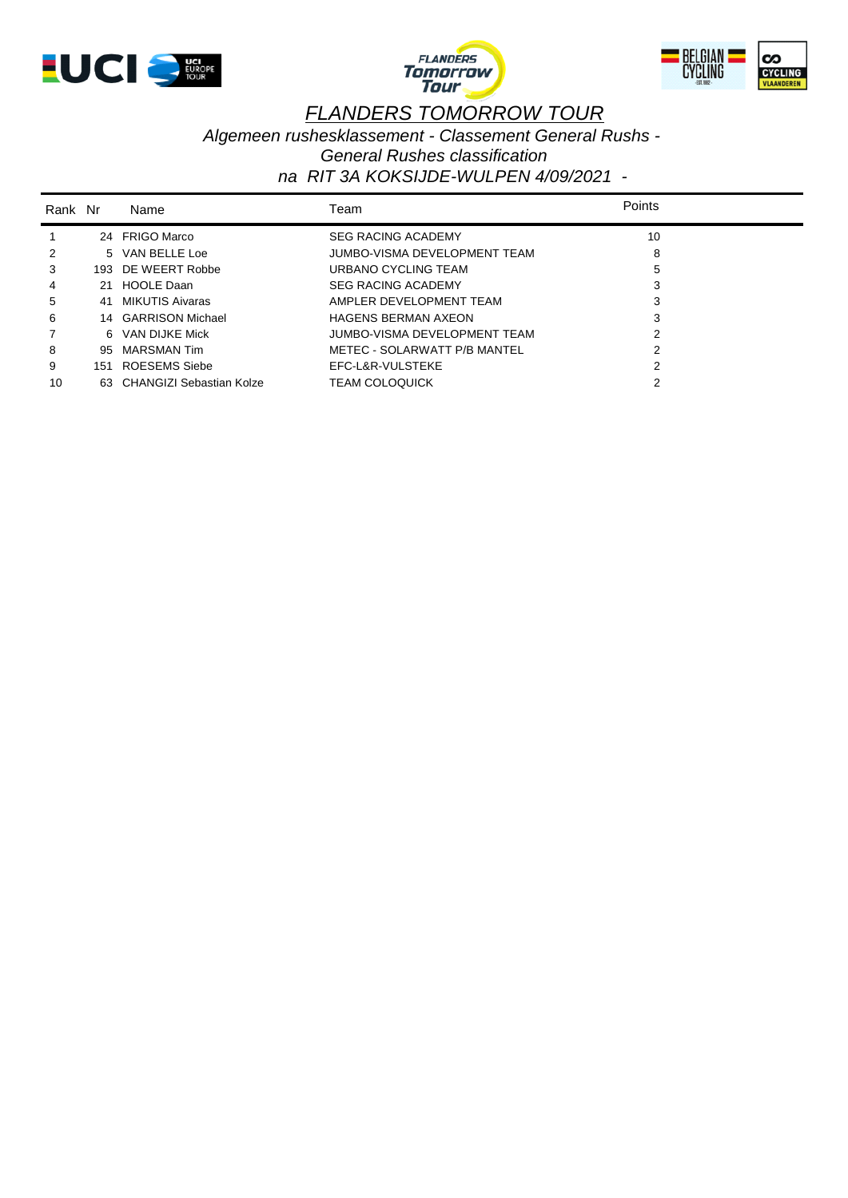





*Algemeen rushesklassement - Classement General Rushs -* 

*General Rushes classification*

| Rank Nr |     | Name                        | Геаm                         | Points |
|---------|-----|-----------------------------|------------------------------|--------|
|         |     | 24 FRIGO Marco              | <b>SEG RACING ACADEMY</b>    | 10     |
| 2       |     | 5 VAN BELLE Loe             | JUMBO-VISMA DEVELOPMENT TEAM | 8      |
| 3       |     | 193 DE WEERT Robbe          | URBANO CYCLING TEAM          | 5      |
| 4       | 21  | <b>HOOLE Daan</b>           | <b>SEG RACING ACADEMY</b>    | 3      |
| 5       | 41  | MIKUTIS Aivaras             | AMPLER DEVELOPMENT TEAM      | 3      |
| 6       |     | 14 GARRISON Michael         | <b>HAGENS BERMAN AXEON</b>   | 3      |
|         |     | 6 VAN DIJKE Mick            | JUMBO-VISMA DEVELOPMENT TEAM | 2      |
| 8       | 95. | MARSMAN Tim                 | METEC - SOLARWATT P/B MANTEL | 2      |
| 9       | 151 | ROESEMS Siebe               | EFC-L&R-VULSTEKE             | 2      |
| 10      |     | 63 CHANGIZI Sebastian Kolze | <b>TEAM COLOQUICK</b>        | 2      |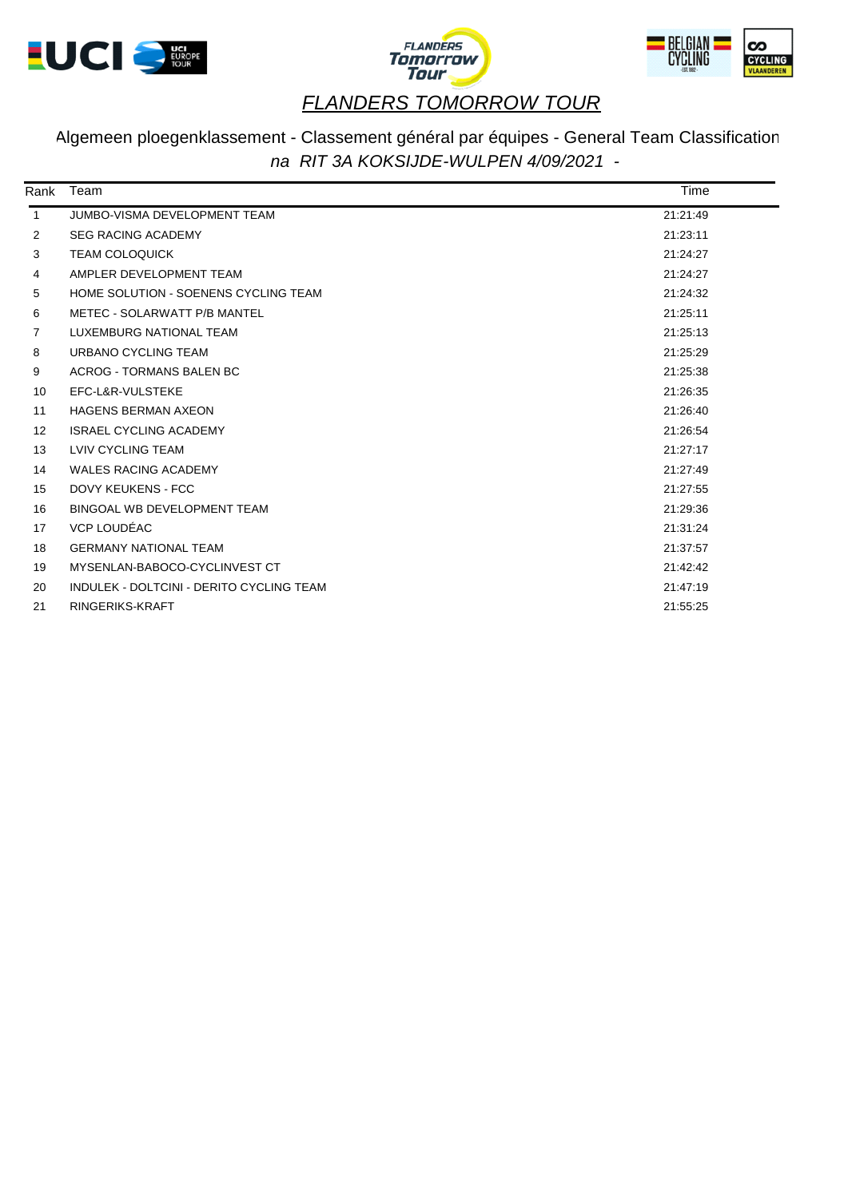





#### Algemeen ploegenklassement - Classement général par équipes - General Team Classification *na RIT 3A KOKSIJDE-WULPEN 4/09/2021 -*

| Rank              | Team                                     | Time     |  |
|-------------------|------------------------------------------|----------|--|
| $\mathbf{1}$      | JUMBO-VISMA DEVELOPMENT TEAM             | 21:21:49 |  |
| 2                 | <b>SEG RACING ACADEMY</b>                | 21:23:11 |  |
| 3                 | <b>TEAM COLOQUICK</b>                    | 21:24:27 |  |
| 4                 | AMPLER DEVELOPMENT TEAM                  | 21:24:27 |  |
| 5                 | HOME SOLUTION - SOENENS CYCLING TEAM     | 21:24:32 |  |
| 6                 | METEC - SOLARWATT P/B MANTEL             | 21:25:11 |  |
| 7                 | LUXEMBURG NATIONAL TEAM                  | 21:25:13 |  |
| 8                 | URBANO CYCLING TEAM                      | 21:25:29 |  |
| 9                 | ACROG - TORMANS BALEN BC                 | 21:25:38 |  |
| 10                | EFC-L&R-VULSTEKE                         | 21:26:35 |  |
| 11                | <b>HAGENS BERMAN AXEON</b>               | 21:26:40 |  |
| $12 \overline{ }$ | <b>ISRAEL CYCLING ACADEMY</b>            | 21:26:54 |  |
| 13                | LVIV CYCLING TEAM                        | 21:27:17 |  |
| 14                | <b>WALES RACING ACADEMY</b>              | 21:27:49 |  |
| 15                | <b>DOVY KEUKENS - FCC</b>                | 21:27:55 |  |
| 16                | BINGOAL WB DEVELOPMENT TEAM              | 21:29:36 |  |
| 17                | VCP LOUDÉAC                              | 21:31:24 |  |
| 18                | <b>GERMANY NATIONAL TEAM</b>             | 21:37:57 |  |
| 19                | MYSENLAN-BABOCO-CYCLINVEST CT            | 21:42:42 |  |
| 20                | INDULEK - DOLTCINI - DERITO CYCLING TEAM | 21:47:19 |  |
| 21                | RINGERIKS-KRAFT                          | 21:55:25 |  |
|                   |                                          |          |  |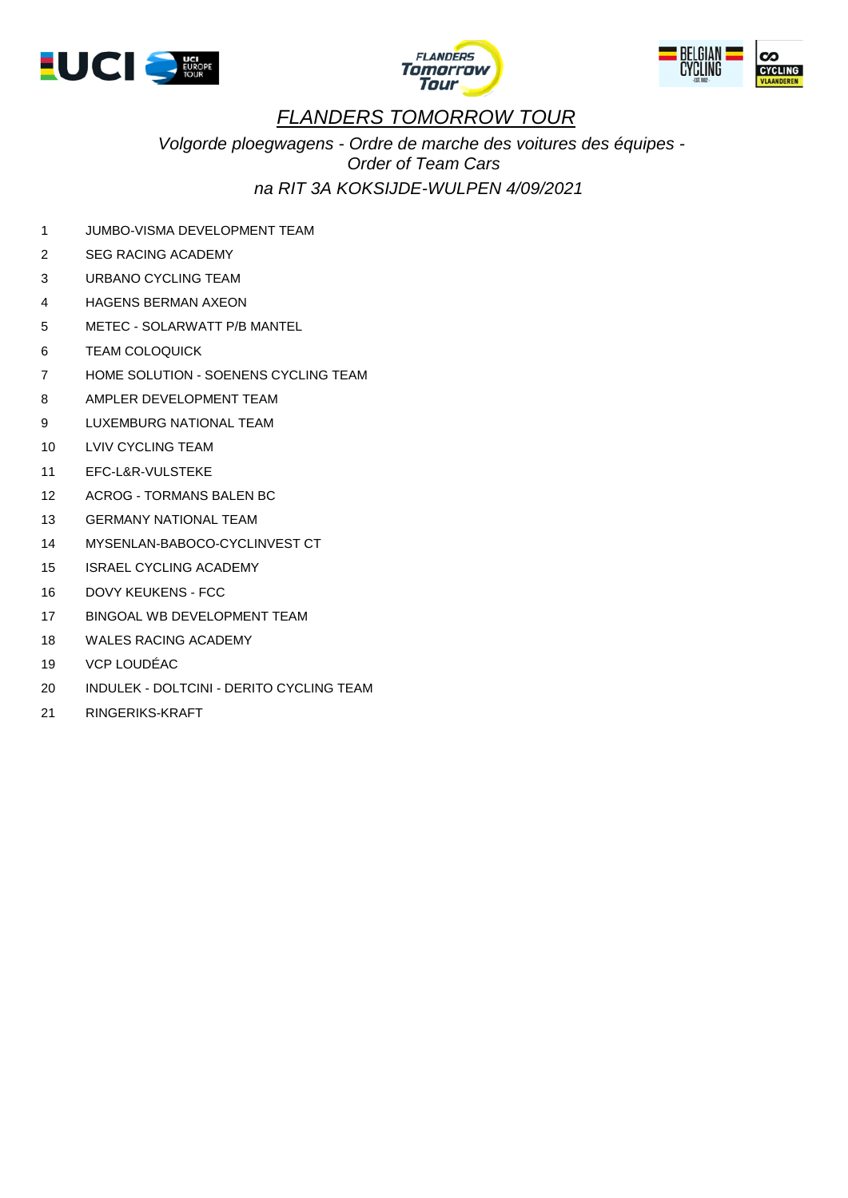





*Volgorde ploegwagens - Ordre de marche des voitures des équipes - Order of Team Cars na RIT 3A KOKSIJDE-WULPEN 4/09/2021* 

1 JUMBO-VISMA DEVELOPMENT TEAM

- 2 SEG RACING ACADEMY
- 3 URBANO CYCLING TEAM
- 4 HAGENS BERMAN AXEON
- 5 METEC SOLARWATT P/B MANTEL
- 6 TEAM COLOQUICK
- 7 HOME SOLUTION SOENENS CYCLING TEAM
- 8 AMPLER DEVELOPMENT TEAM
- 9 LUXEMBURG NATIONAL TEAM
- 10 LVIV CYCLING TEAM
- 11 EFC-L&R-VULSTEKE
- 12 ACROG TORMANS BALEN BC
- 13 GERMANY NATIONAL TEAM
- 14 MYSENLAN-BABOCO-CYCLINVEST CT
- 15 ISRAEL CYCLING ACADEMY
- 16 DOVY KEUKENS FCC
- 17 BINGOAL WB DEVELOPMENT TEAM
- 18 WALES RACING ACADEMY
- 19 VCP LOUDÉAC
- 20 INDULEK DOLTCINI DERITO CYCLING TEAM
- 21 RINGERIKS-KRAFT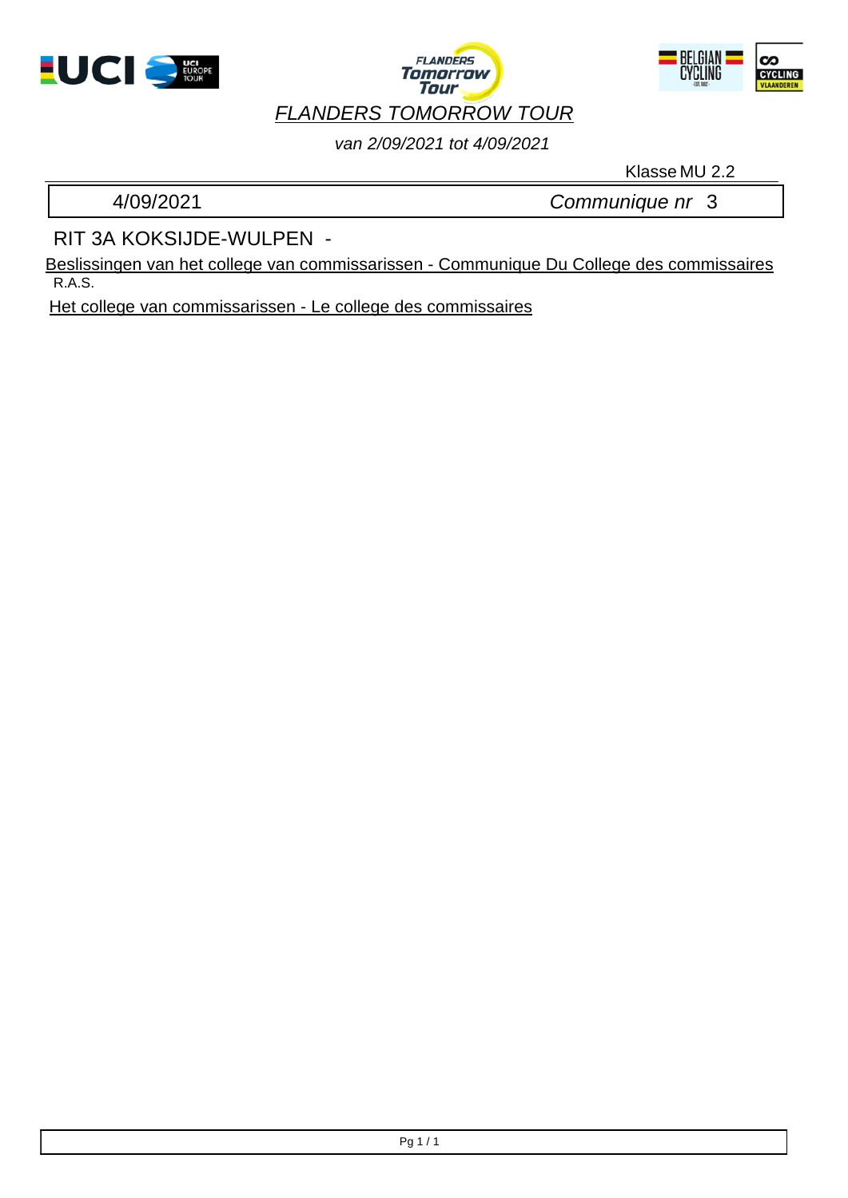





*van 2/09/2021 tot 4/09/2021*

Klasse MU 2.2

4/09/2021 *Communique nr* 3

RIT 3A KOKSIJDE-WULPEN -

R.A.S. Beslissingen van het college van commissarissen - Communique Du College des commissaires

Het college van commissarissen - Le college des commissaires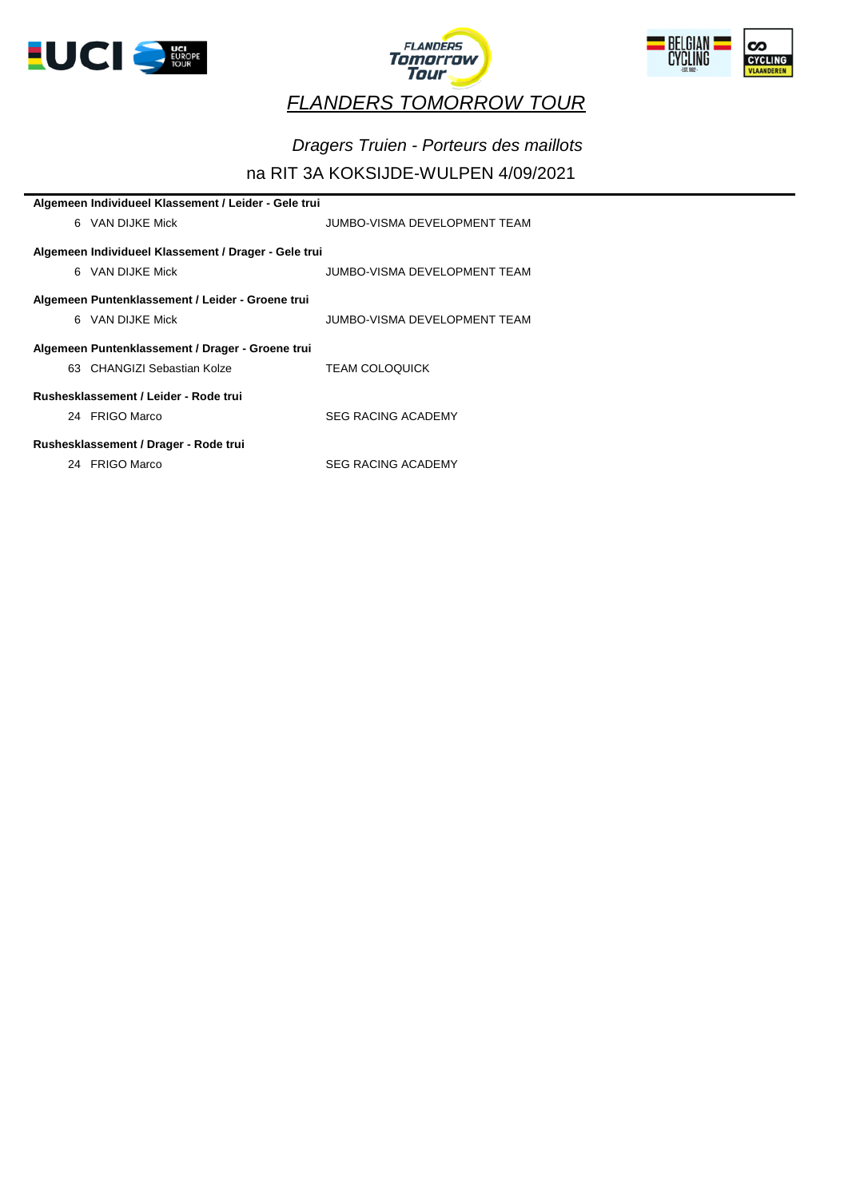





## *Dragers Truien - Porteurs des maillots*

| Algemeen Individueel Klassement / Leider - Gele trui |                              |  |  |  |  |  |
|------------------------------------------------------|------------------------------|--|--|--|--|--|
| 6 VAN DIJKE Mick                                     | JUMBO-VISMA DEVELOPMENT TEAM |  |  |  |  |  |
|                                                      |                              |  |  |  |  |  |
| Algemeen Individueel Klassement / Drager - Gele trui |                              |  |  |  |  |  |
| 6 VAN DIJKE Mick                                     | JUMBO-VISMA DEVELOPMENT TEAM |  |  |  |  |  |
|                                                      |                              |  |  |  |  |  |
| Algemeen Puntenklassement / Leider - Groene trui     |                              |  |  |  |  |  |
| 6 VAN DIJKE Mick                                     | JUMBO-VISMA DEVELOPMENT TEAM |  |  |  |  |  |
|                                                      |                              |  |  |  |  |  |
| Algemeen Puntenklassement / Drager - Groene trui     |                              |  |  |  |  |  |
| 63 CHANGIZI Sebastian Kolze                          | <b>TEAM COLOQUICK</b>        |  |  |  |  |  |
|                                                      |                              |  |  |  |  |  |
| Rushesklassement / Leider - Rode trui                |                              |  |  |  |  |  |
| 24 FRIGO Marco                                       | <b>SEG RACING ACADEMY</b>    |  |  |  |  |  |
|                                                      |                              |  |  |  |  |  |
| Rushesklassement / Drager - Rode trui                |                              |  |  |  |  |  |
| 24 FRIGO Marco                                       | <b>SEG RACING ACADEMY</b>    |  |  |  |  |  |
|                                                      |                              |  |  |  |  |  |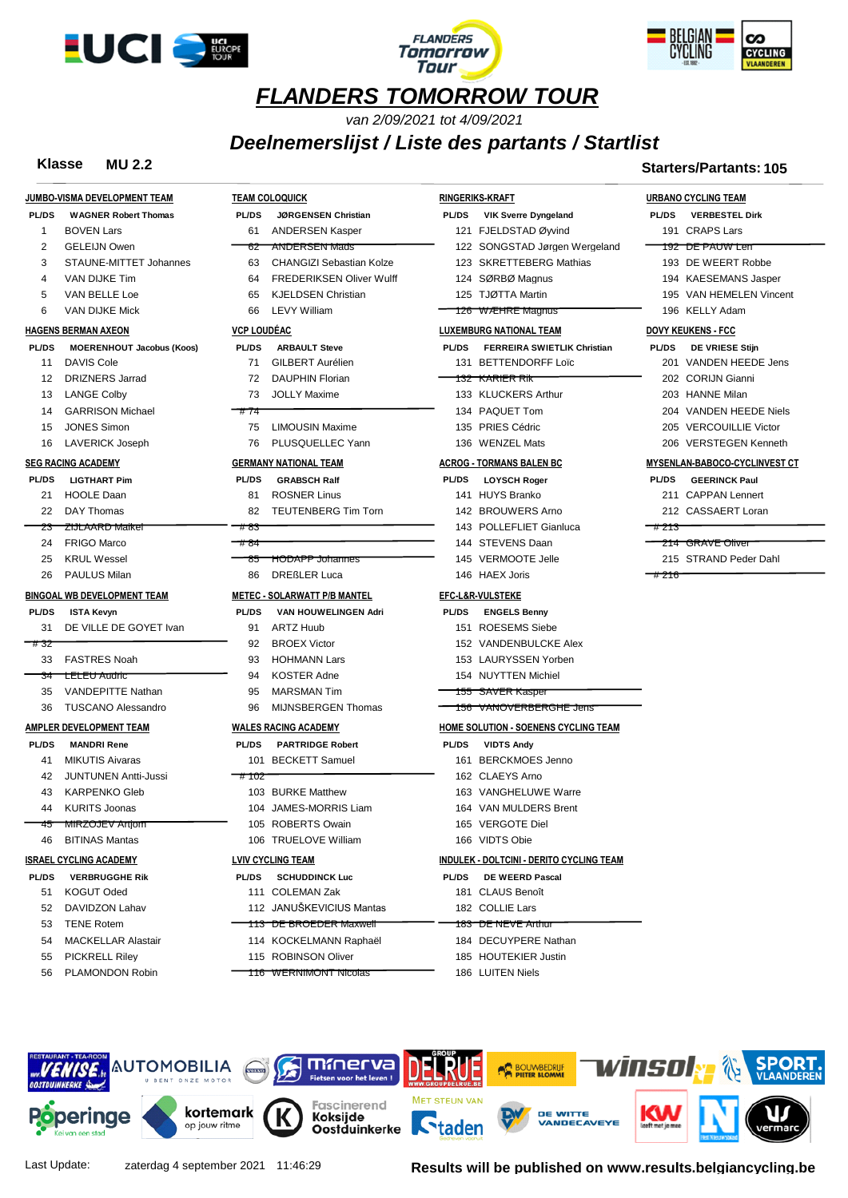





*van 2/09/2021 tot 4/09/2021*

#### *Deelnemerslijst / Liste des partants / Startlist*

#### **Klasse MU 2.2 Starters/Partants: 105**

|              | JUMBO-VISMA DEVELOPMENT TEAM       |                    | <b>TEAM COLOQUICK</b>               |              | <b>RINGERIKS-KRAFT</b>                      |              | <b>URBANO CYCLING TEAM</b>    |
|--------------|------------------------------------|--------------------|-------------------------------------|--------------|---------------------------------------------|--------------|-------------------------------|
| <b>PL/DS</b> | <b>WAGNER Robert Thomas</b>        | <b>PL/DS</b>       | JØRGENSEN Christian                 | <b>PL/DS</b> | <b>VIK Sverre Dyngeland</b>                 | <b>PL/DS</b> | <b>VERBESTEL Dirk</b>         |
| 1            | <b>BOVEN Lars</b>                  | 61                 | <b>ANDERSEN Kasper</b>              |              | 121 FJELDSTAD Øyvind                        |              | 191 CRAPS Lars                |
| 2            | <b>GELEIJN Owen</b>                | 62                 | <b>ANDERSEN Mads</b>                |              | 122 SONGSTAD Jørgen Wergeland               |              | <del>192 DE PAUW Len</del>    |
| 3            | STAUNE-MITTET Johannes             | 63                 | <b>CHANGIZI Sebastian Kolze</b>     |              | 123 SKRETTEBERG Mathias                     |              | 193 DE WEERT Robbe            |
| 4            | VAN DIJKE Tim                      | 64                 | <b>FREDERIKSEN Oliver Wulff</b>     |              | 124 SØRBØ Magnus                            |              | 194 KAESEMANS Jasper          |
| 5            | VAN BELLE Loe                      | 65                 | <b>KJELDSEN Christian</b>           |              | 125 TJØTTA Martin                           |              | 195 VAN HEMELEN Vincent       |
| 6            | VAN DIJKE Mick                     | 66                 | <b>LEVY William</b>                 |              | 126 WÆHRE Magnus                            |              | 196 KELLY Adam                |
|              | <b>HAGENS BERMAN AXEON</b>         | <b>VCP LOUDEAC</b> |                                     |              | <b>LUXEMBURG NATIONAL TEAM</b>              |              | <b>DOVY KEUKENS - FCC</b>     |
| <b>PL/DS</b> | <b>MOERENHOUT Jacobus (Koos)</b>   | <b>PL/DS</b>       | <b>ARBAULT Steve</b>                | <b>PL/DS</b> | <b>FERREIRA SWIETLIK Christian</b>          | <b>PL/DS</b> | DE VRIESE Stijn               |
| 11           | <b>DAVIS Cole</b>                  | 71                 | <b>GILBERT Aurélien</b>             |              | 131 BETTENDORFF Loïc                        |              | 201 VANDEN HEEDE Jens         |
| 12           | <b>DRIZNERS Jarrad</b>             | 72                 | <b>DAUPHIN Florian</b>              |              | 132 KARIER RIK                              |              | 202 CORIJN Gianni             |
| 13           | <b>LANGE Colby</b>                 | 73                 | <b>JOLLY Maxime</b>                 |              | 133 KLUCKERS Arthur                         |              | 203 HANNE Milan               |
| 14           | <b>GARRISON Michael</b>            | #74                |                                     |              | 134 PAQUET Tom                              |              | 204 VANDEN HEEDE Niels        |
| 15           | <b>JONES Simon</b>                 | 75                 | <b>LIMOUSIN Maxime</b>              |              | 135 PRIES Cédric                            |              | 205 VERCOUILLIE Victor        |
| 16           | <b>LAVERICK Joseph</b>             | 76                 | PLUSQUELLEC Yann                    |              | 136 WENZEL Mats                             |              | 206 VERSTEGEN Kenneth         |
|              | <b>SEG RACING ACADEMY</b>          |                    | <b>GERMANY NATIONAL TEAM</b>        |              | <b>ACROG - TORMANS BALEN BC</b>             |              | MYSENLAN-BABOCO-CYCLINVEST CT |
| <b>PL/DS</b> | <b>LIGTHART Pim</b>                | <b>PL/DS</b>       | <b>GRABSCH Ralf</b>                 | <b>PL/DS</b> | <b>LOYSCH Roger</b>                         | <b>PL/DS</b> | <b>GEERINCK Paul</b>          |
| 21           | <b>HOOLE Daan</b>                  | 81                 | <b>ROSNER Linus</b>                 |              | 141 HUYS Branko                             |              | 211 CAPPAN Lennert            |
| 22           | DAY Thomas                         | 82                 | <b>TEUTENBERG Tim Torn</b>          |              | 142 BROUWERS Arno                           |              | 212 CASSAERT Loran            |
| 23           | ZIJLAARD Malkel                    | #83                |                                     |              | 143 POLLEFLIET Gianluca                     | #213         |                               |
| 24           | <b>FRIGO Marco</b>                 | #84                |                                     |              | 144 STEVENS Daan                            |              | <del>214 GRAVE Oliver</del>   |
| 25           | <b>KRUL Wessel</b>                 | -85                | <b>HODAPP Johannes</b>              |              | 145 VERMOOTE Jelle                          |              | 215 STRAND Peder Dahl         |
| 26           | <b>PAULUS Milan</b>                | 86                 | <b>DREßLER Luca</b>                 |              | 146 HAEX Joris                              | #216         |                               |
|              | <b>BINGOAL WB DEVELOPMENT TEAM</b> |                    | <b>METEC - SOLARWATT P/B MANTEL</b> |              | <b>EFC-L&amp;R-VULSTEKE</b>                 |              |                               |
| <b>PL/DS</b> | <b>ISTA Kevyn</b>                  | <b>PL/DS</b>       | VAN HOUWELINGEN Adri                | <b>PL/DS</b> | <b>ENGELS Benny</b>                         |              |                               |
| 31           | DE VILLE DE GOYET Ivan             | 91                 | <b>ARTZ Huub</b>                    |              | 151 ROESEMS Siebe                           |              |                               |
| #32          |                                    | 92                 | <b>BROEX Victor</b>                 |              | 152 VANDENBULCKE Alex                       |              |                               |
| 33           | <b>FASTRES Noah</b>                | 93                 | <b>HOHMANN Lars</b>                 |              | 153 LAURYSSEN Yorben                        |              |                               |
| 34           | <b>LELEU Audric</b>                | 94                 | <b>KOSTER Adne</b>                  |              | 154 NUYTTEN Michiel                         |              |                               |
| 35           | <b>VANDEPITTE Nathan</b>           | 95                 | <b>MARSMAN Tim</b>                  |              | <del>155 SAVER Kasper</del>                 |              |                               |
| 36           | <b>TUSCANO Alessandro</b>          | 96                 | MIJNSBERGEN Thomas                  |              | 156 VANOVERBERGHE Jens                      |              |                               |
|              | <b>AMPLER DEVELOPMENT TEAM</b>     |                    | <b>WALES RACING ACADEMY</b>         |              | <b>HOME SOLUTION - SOENENS CYCLING TEAM</b> |              |                               |
| <b>PL/DS</b> | <b>MANDRI Rene</b>                 | <b>PL/DS</b>       | <b>PARTRIDGE Robert</b>             | <b>PL/DS</b> | <b>VIDTS Andy</b>                           |              |                               |
| 41           | <b>MIKUTIS Aivaras</b>             | 101                | <b>BECKETT Samuel</b>               | 161          | <b>BERCKMOES Jenno</b>                      |              |                               |
| 42           | <b>JUNTUNEN Antti-Jussi</b>        | # 102              |                                     |              | 162 CLAEYS Arno                             |              |                               |
| 43           | <b>KARPENKO Gleb</b>               |                    | 103 BURKE Matthew                   |              | 163 VANGHELUWE Warre                        |              |                               |
| 44           | <b>KURITS Joonas</b>               |                    | 104 JAMES-MORRIS Liam               |              | 164 VAN MULDERS Brent                       |              |                               |
| 45           | <del>MIRZOJE∀ Artjom</del>         |                    | 105 ROBERTS Owain                   |              | 165 VERGOTE Diel                            |              |                               |
| 46           | <b>BITINAS Mantas</b>              |                    | 106 TRUELOVE William                |              | 166 VIDTS Obie                              |              |                               |
|              | <b>ISRAEL CYCLING ACADEMY</b>      |                    | <b>LVIV CYCLING TEAM</b>            |              | INDULEK - DOLTCINI - DERITO CYCLING TEAM    |              |                               |
| <b>PL/DS</b> | <b>VERBRUGGHE Rik</b>              | <b>PL/DS</b>       | <b>SCHUDDINCK Luc</b>               | <b>PL/DS</b> | <b>DE WEERD Pascal</b>                      |              |                               |
| 51           | <b>KOGUT Oded</b>                  |                    | 111 COLEMAN Zak                     |              | 181 CLAUS Benoît                            |              |                               |
| 52           | DAVIDZON Lahav                     |                    | 112 JANUŠKEVICIUS Mantas            |              | 182 COLLIE Lars                             |              |                               |
| 53           | <b>TENE Rotem</b>                  |                    | 113 DE BROEDER Maxwell              |              | <u>183 DE NEVE Anthur</u>                   |              |                               |
| 54           | <b>MACKELLAR Alastair</b>          |                    | 114 KOCKELMANN Raphaël              |              | 184 DECUYPERE Nathan                        |              |                               |
|              |                                    |                    |                                     |              |                                             |              |                               |
| 55           | <b>PICKRELL Riley</b>              |                    | 115 ROBINSON Oliver                 |              | 185 HOUTEKIER Justin                        |              |                               |



Last Update: zaterdag 4 september 2021 11:46:29 **Results will be published on www.results.belgiancycling.be**